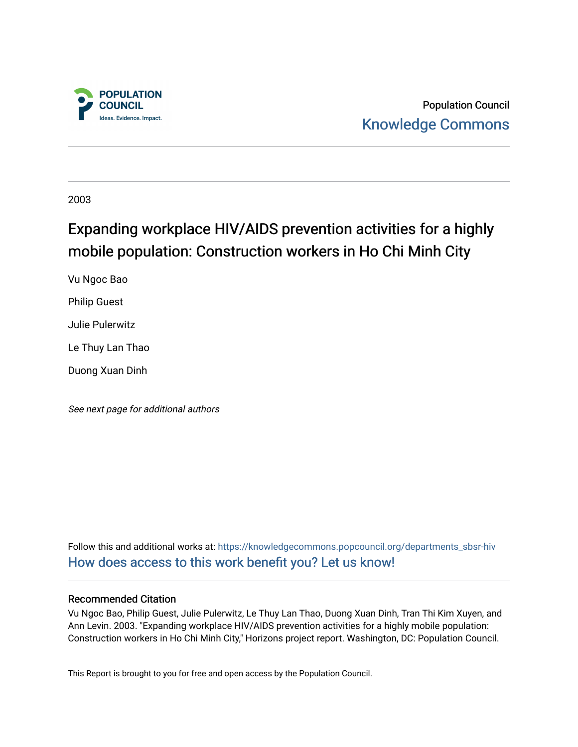

Population Council [Knowledge Commons](https://knowledgecommons.popcouncil.org/) 

2003

# Expanding workplace HIV/AIDS prevention activities for a highly mobile population: Construction workers in Ho Chi Minh City

Vu Ngoc Bao

Philip Guest

Julie Pulerwitz

Le Thuy Lan Thao

Duong Xuan Dinh

See next page for additional authors

Follow this and additional works at: [https://knowledgecommons.popcouncil.org/departments\\_sbsr-hiv](https://knowledgecommons.popcouncil.org/departments_sbsr-hiv?utm_source=knowledgecommons.popcouncil.org%2Fdepartments_sbsr-hiv%2F689&utm_medium=PDF&utm_campaign=PDFCoverPages) [How does access to this work benefit you? Let us know!](https://pcouncil.wufoo.com/forms/open-access-to-population-council-research/)

#### Recommended Citation

Vu Ngoc Bao, Philip Guest, Julie Pulerwitz, Le Thuy Lan Thao, Duong Xuan Dinh, Tran Thi Kim Xuyen, and Ann Levin. 2003. "Expanding workplace HIV/AIDS prevention activities for a highly mobile population: Construction workers in Ho Chi Minh City," Horizons project report. Washington, DC: Population Council.

This Report is brought to you for free and open access by the Population Council.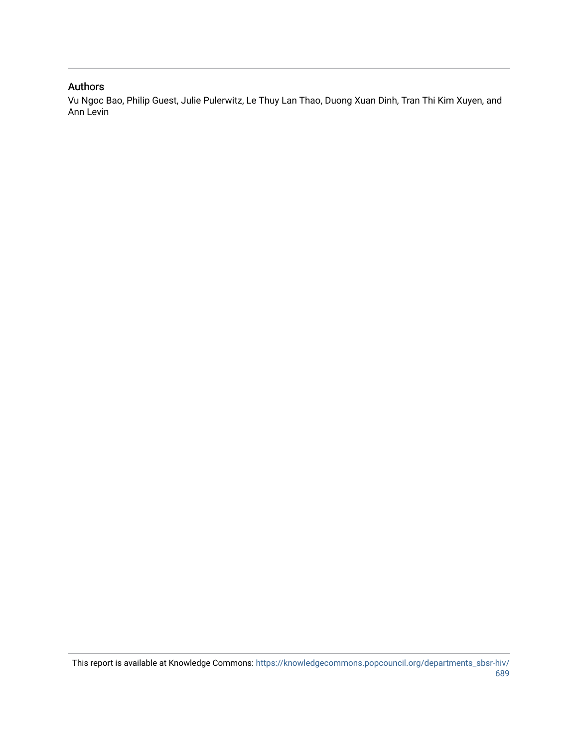#### Authors

Vu Ngoc Bao, Philip Guest, Julie Pulerwitz, Le Thuy Lan Thao, Duong Xuan Dinh, Tran Thi Kim Xuyen, and Ann Levin

This report is available at Knowledge Commons: [https://knowledgecommons.popcouncil.org/departments\\_sbsr-hiv/](https://knowledgecommons.popcouncil.org/departments_sbsr-hiv/689) [689](https://knowledgecommons.popcouncil.org/departments_sbsr-hiv/689)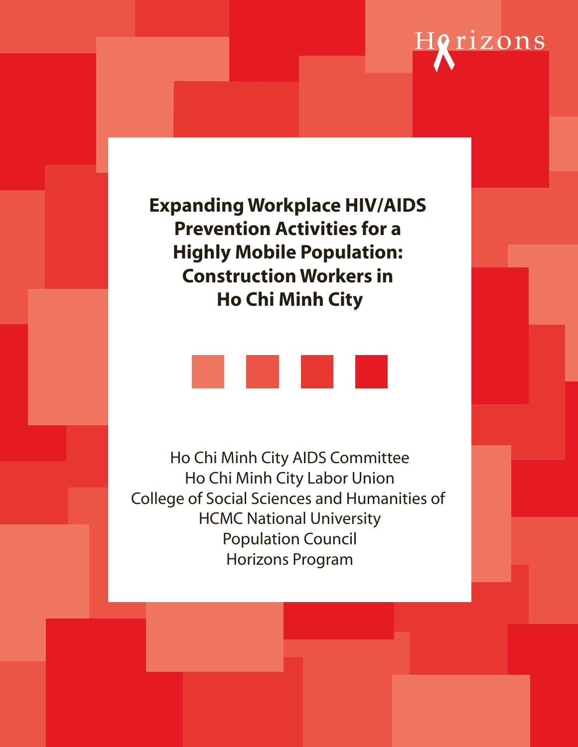# Horizons

**Expanding Workplace HIV/AIDS Prevention Activities for a Highly Mobile Population: Construction Workers in Ho Chi Minh City**



Ho Chi Minh City AIDS Committee Ho Chi Minh City Labor Union College of Social Sciences and Humanities of HCMC National University Population Council Horizons Program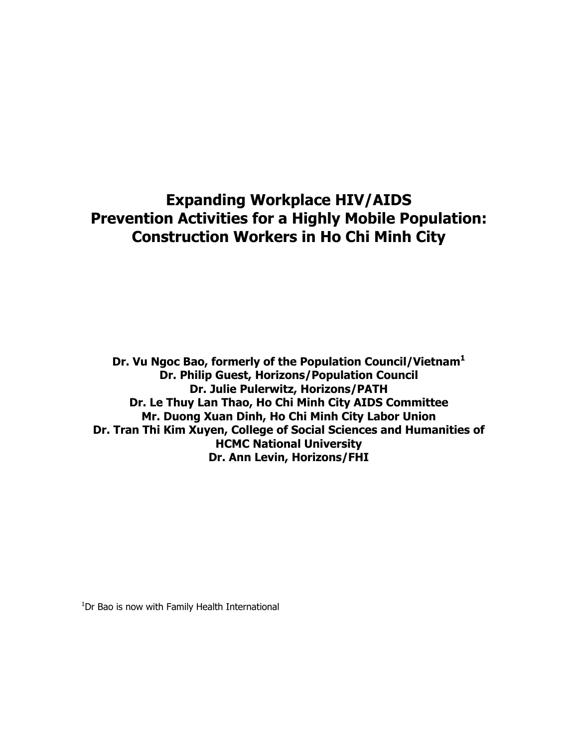# **Expanding Workplace HIV/AIDS Prevention Activities for a Highly Mobile Population: Construction Workers in Ho Chi Minh City**

**Dr. Vu Ngoc Bao, formerly of the Population Council/Vietnam1 Dr. Philip Guest, Horizons/Population Council Dr. Julie Pulerwitz, Horizons/PATH Dr. Le Thuy Lan Thao, Ho Chi Minh City AIDS Committee Mr. Duong Xuan Dinh, Ho Chi Minh City Labor Union Dr. Tran Thi Kim Xuyen, College of Social Sciences and Humanities of HCMC National University Dr. Ann Levin, Horizons/FHI** 

<sup>1</sup>Dr Bao is now with Family Health International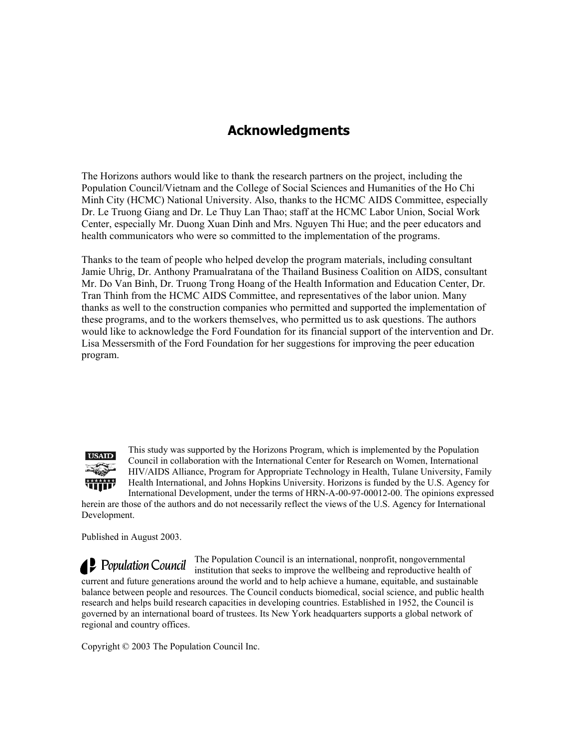## **Acknowledgments**

The Horizons authors would like to thank the research partners on the project, including the Population Council/Vietnam and the College of Social Sciences and Humanities of the Ho Chi Minh City (HCMC) National University. Also, thanks to the HCMC AIDS Committee, especially Dr. Le Truong Giang and Dr. Le Thuy Lan Thao; staff at the HCMC Labor Union, Social Work Center, especially Mr. Duong Xuan Dinh and Mrs. Nguyen Thi Hue; and the peer educators and health communicators who were so committed to the implementation of the programs.

Thanks to the team of people who helped develop the program materials, including consultant Jamie Uhrig, Dr. Anthony Pramualratana of the Thailand Business Coalition on AIDS, consultant Mr. Do Van Binh, Dr. Truong Trong Hoang of the Health Information and Education Center, Dr. Tran Thinh from the HCMC AIDS Committee, and representatives of the labor union. Many thanks as well to the construction companies who permitted and supported the implementation of these programs, and to the workers themselves, who permitted us to ask questions. The authors would like to acknowledge the Ford Foundation for its financial support of the intervention and Dr. Lisa Messersmith of the Ford Foundation for her suggestions for improving the peer education program.



Development.

This study was supported by the Horizons Program, which is implemented by the Population Council in collaboration with the International Center for Research on Women, International HIV/AIDS Alliance, Program for Appropriate Technology in Health, Tulane University, Family Health International, and Johns Hopkins University. Horizons is funded by the U.S. Agency for International Development, under the terms of HRN-A-00-97-00012-00. The opinions expressed herein are those of the authors and do not necessarily reflect the views of the U.S. Agency for International

Published in August 2003.

The Population Council is an international, nonprofit, nongovernmental institution that seeks to improve the wellbeing and reproductive health of current and future generations around the world and to help achieve a humane, equitable, and sustainable balance between people and resources. The Council conducts biomedical, social science, and public health research and helps build research capacities in developing countries. Established in 1952, the Council is governed by an international board of trustees. Its New York headquarters supports a global network of regional and country offices.

Copyright © 2003 The Population Council Inc.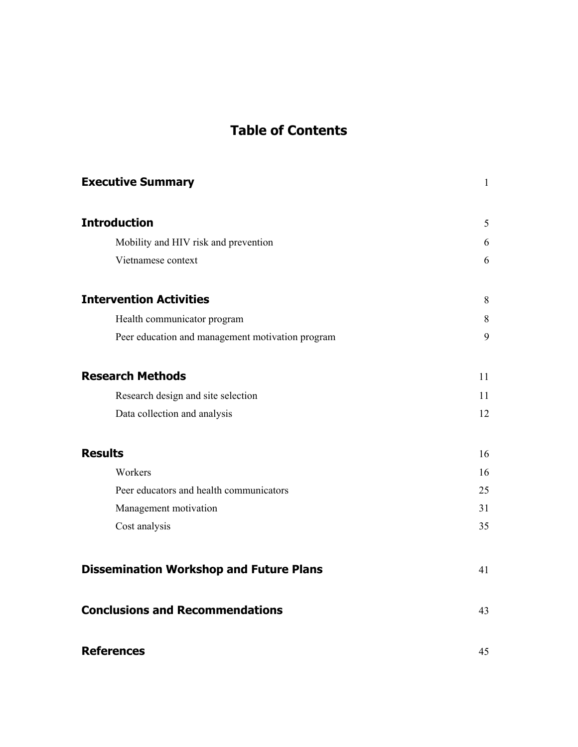# **Table of Contents**

| <b>Executive Summary</b>                         | $\mathbf{1}$ |
|--------------------------------------------------|--------------|
| <b>Introduction</b>                              | 5            |
| Mobility and HIV risk and prevention             | 6            |
| Vietnamese context                               | 6            |
| <b>Intervention Activities</b>                   | 8            |
| Health communicator program                      | 8            |
| Peer education and management motivation program | 9            |
| <b>Research Methods</b>                          | 11           |
| Research design and site selection               | 11           |
| Data collection and analysis                     | 12           |
| <b>Results</b>                                   | 16           |
| Workers                                          | 16           |
| Peer educators and health communicators          | 25           |
| Management motivation                            | 31           |
| Cost analysis                                    | 35           |
| <b>Dissemination Workshop and Future Plans</b>   | 41           |
| <b>Conclusions and Recommendations</b>           | 43           |
| <b>References</b>                                | 45           |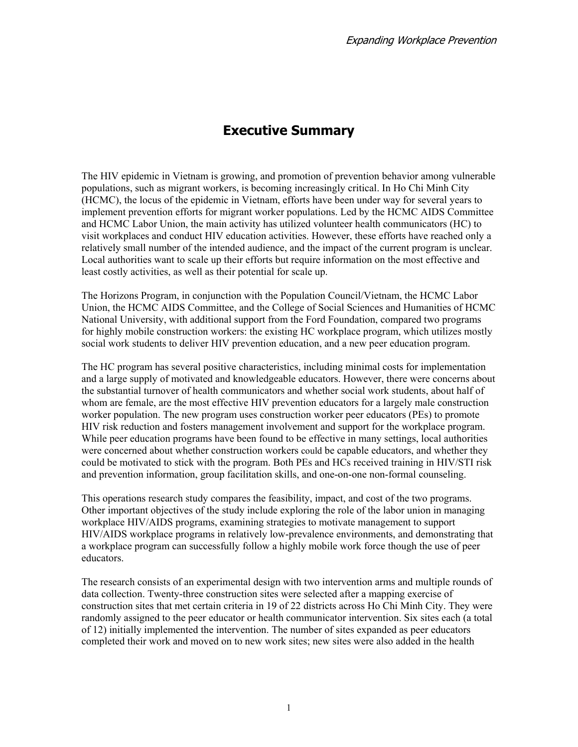# **Executive Summary**

The HIV epidemic in Vietnam is growing, and promotion of prevention behavior among vulnerable populations, such as migrant workers, is becoming increasingly critical. In Ho Chi Minh City (HCMC), the locus of the epidemic in Vietnam, efforts have been under way for several years to implement prevention efforts for migrant worker populations. Led by the HCMC AIDS Committee and HCMC Labor Union, the main activity has utilized volunteer health communicators (HC) to visit workplaces and conduct HIV education activities. However, these efforts have reached only a relatively small number of the intended audience, and the impact of the current program is unclear. Local authorities want to scale up their efforts but require information on the most effective and least costly activities, as well as their potential for scale up.

The Horizons Program, in conjunction with the Population Council/Vietnam, the HCMC Labor Union, the HCMC AIDS Committee, and the College of Social Sciences and Humanities of HCMC National University, with additional support from the Ford Foundation, compared two programs for highly mobile construction workers: the existing HC workplace program, which utilizes mostly social work students to deliver HIV prevention education, and a new peer education program.

The HC program has several positive characteristics, including minimal costs for implementation and a large supply of motivated and knowledgeable educators. However, there were concerns about the substantial turnover of health communicators and whether social work students, about half of whom are female, are the most effective HIV prevention educators for a largely male construction worker population. The new program uses construction worker peer educators (PEs) to promote HIV risk reduction and fosters management involvement and support for the workplace program. While peer education programs have been found to be effective in many settings, local authorities were concerned about whether construction workers could be capable educators, and whether they could be motivated to stick with the program. Both PEs and HCs received training in HIV/STI risk and prevention information, group facilitation skills, and one-on-one non-formal counseling.

This operations research study compares the feasibility, impact, and cost of the two programs. Other important objectives of the study include exploring the role of the labor union in managing workplace HIV/AIDS programs, examining strategies to motivate management to support HIV/AIDS workplace programs in relatively low-prevalence environments, and demonstrating that a workplace program can successfully follow a highly mobile work force though the use of peer educators.

The research consists of an experimental design with two intervention arms and multiple rounds of data collection. Twenty-three construction sites were selected after a mapping exercise of construction sites that met certain criteria in 19 of 22 districts across Ho Chi Minh City. They were randomly assigned to the peer educator or health communicator intervention. Six sites each (a total of 12) initially implemented the intervention. The number of sites expanded as peer educators completed their work and moved on to new work sites; new sites were also added in the health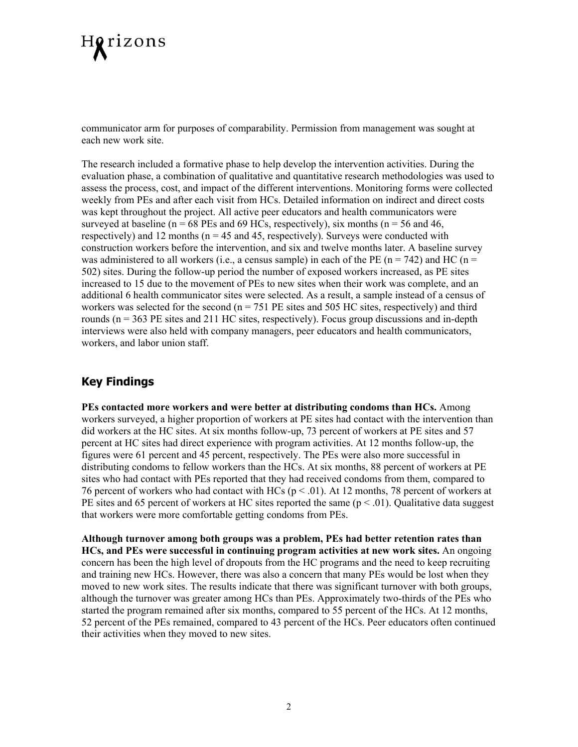

communicator arm for purposes of comparability. Permission from management was sought at each new work site.

The research included a formative phase to help develop the intervention activities. During the evaluation phase, a combination of qualitative and quantitative research methodologies was used to assess the process, cost, and impact of the different interventions. Monitoring forms were collected weekly from PEs and after each visit from HCs. Detailed information on indirect and direct costs was kept throughout the project. All active peer educators and health communicators were surveyed at baseline ( $n = 68$  PEs and 69 HCs, respectively), six months ( $n = 56$  and 46, respectively) and 12 months ( $n = 45$  and 45, respectively). Surveys were conducted with construction workers before the intervention, and six and twelve months later. A baseline survey was administered to all workers (i.e., a census sample) in each of the PE ( $n = 742$ ) and HC ( $n =$ 502) sites. During the follow-up period the number of exposed workers increased, as PE sites increased to 15 due to the movement of PEs to new sites when their work was complete, and an additional 6 health communicator sites were selected. As a result, a sample instead of a census of workers was selected for the second ( $n = 751$  PE sites and 505 HC sites, respectively) and third rounds (n = 363 PE sites and 211 HC sites, respectively). Focus group discussions and in-depth interviews were also held with company managers, peer educators and health communicators, workers, and labor union staff.

### **Key Findings**

**PEs contacted more workers and were better at distributing condoms than HCs.** Among workers surveyed, a higher proportion of workers at PE sites had contact with the intervention than did workers at the HC sites. At six months follow-up, 73 percent of workers at PE sites and 57 percent at HC sites had direct experience with program activities. At 12 months follow-up, the figures were 61 percent and 45 percent, respectively. The PEs were also more successful in distributing condoms to fellow workers than the HCs. At six months, 88 percent of workers at PE sites who had contact with PEs reported that they had received condoms from them, compared to 76 percent of workers who had contact with HCs (p < .01). At 12 months, 78 percent of workers at PE sites and 65 percent of workers at HC sites reported the same  $(p < .01)$ . Qualitative data suggest that workers were more comfortable getting condoms from PEs.

**Although turnover among both groups was a problem, PEs had better retention rates than HCs, and PEs were successful in continuing program activities at new work sites.** An ongoing concern has been the high level of dropouts from the HC programs and the need to keep recruiting and training new HCs. However, there was also a concern that many PEs would be lost when they moved to new work sites. The results indicate that there was significant turnover with both groups, although the turnover was greater among HCs than PEs. Approximately two-thirds of the PEs who started the program remained after six months, compared to 55 percent of the HCs. At 12 months, 52 percent of the PEs remained, compared to 43 percent of the HCs. Peer educators often continued their activities when they moved to new sites.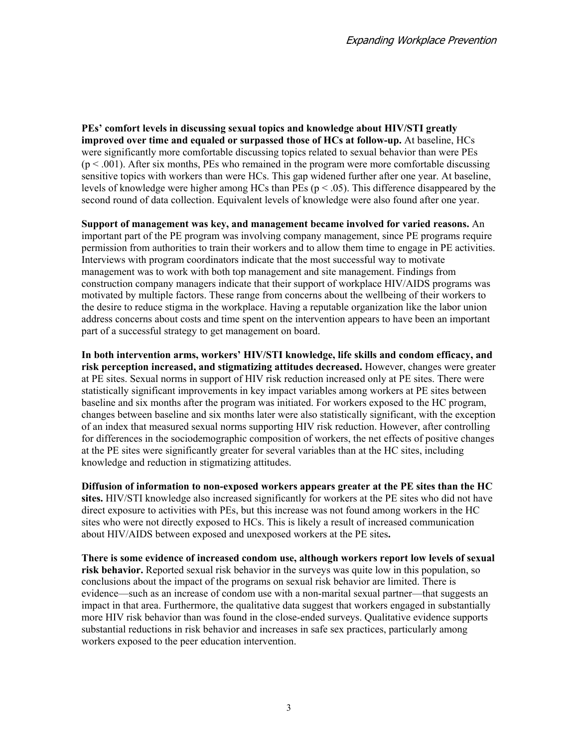**PEs' comfort levels in discussing sexual topics and knowledge about HIV/STI greatly improved over time and equaled or surpassed those of HCs at follow-up.** At baseline, HCs were significantly more comfortable discussing topics related to sexual behavior than were PEs  $(p < .001)$ . After six months, PEs who remained in the program were more comfortable discussing sensitive topics with workers than were HCs. This gap widened further after one year. At baseline, levels of knowledge were higher among HCs than PEs ( $p < .05$ ). This difference disappeared by the second round of data collection. Equivalent levels of knowledge were also found after one year.

**Support of management was key, and management became involved for varied reasons.** An important part of the PE program was involving company management, since PE programs require permission from authorities to train their workers and to allow them time to engage in PE activities. Interviews with program coordinators indicate that the most successful way to motivate management was to work with both top management and site management. Findings from construction company managers indicate that their support of workplace HIV/AIDS programs was motivated by multiple factors. These range from concerns about the wellbeing of their workers to the desire to reduce stigma in the workplace. Having a reputable organization like the labor union address concerns about costs and time spent on the intervention appears to have been an important part of a successful strategy to get management on board.

**In both intervention arms, workers' HIV/STI knowledge, life skills and condom efficacy, and risk perception increased, and stigmatizing attitudes decreased.** However, changes were greater at PE sites. Sexual norms in support of HIV risk reduction increased only at PE sites. There were statistically significant improvements in key impact variables among workers at PE sites between baseline and six months after the program was initiated. For workers exposed to the HC program, changes between baseline and six months later were also statistically significant, with the exception of an index that measured sexual norms supporting HIV risk reduction. However, after controlling for differences in the sociodemographic composition of workers, the net effects of positive changes at the PE sites were significantly greater for several variables than at the HC sites, including knowledge and reduction in stigmatizing attitudes.

**Diffusion of information to non-exposed workers appears greater at the PE sites than the HC sites.** HIV/STI knowledge also increased significantly for workers at the PE sites who did not have direct exposure to activities with PEs, but this increase was not found among workers in the HC sites who were not directly exposed to HCs. This is likely a result of increased communication about HIV/AIDS between exposed and unexposed workers at the PE sites**.** 

**There is some evidence of increased condom use, although workers report low levels of sexual risk behavior.** Reported sexual risk behavior in the surveys was quite low in this population, so conclusions about the impact of the programs on sexual risk behavior are limited. There is evidence—such as an increase of condom use with a non-marital sexual partner—that suggests an impact in that area. Furthermore, the qualitative data suggest that workers engaged in substantially more HIV risk behavior than was found in the close-ended surveys. Qualitative evidence supports substantial reductions in risk behavior and increases in safe sex practices, particularly among workers exposed to the peer education intervention.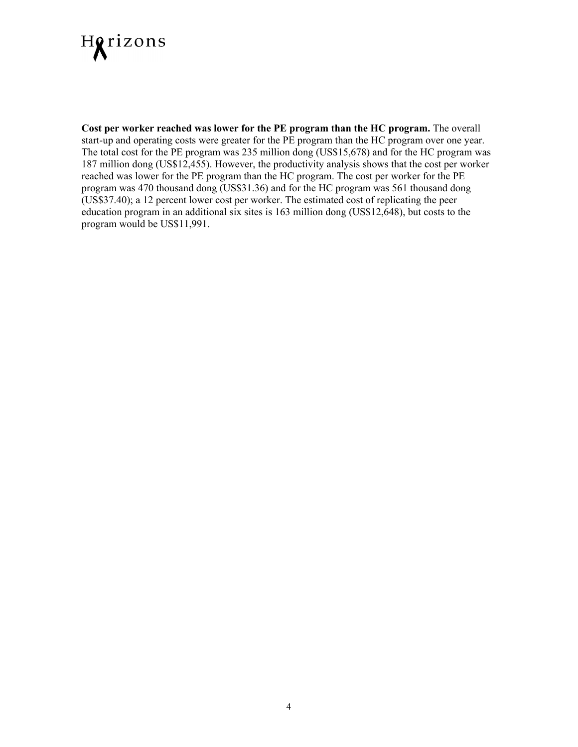

**Cost per worker reached was lower for the PE program than the HC program.** The overall start-up and operating costs were greater for the PE program than the HC program over one year. The total cost for the PE program was 235 million dong (US\$15,678) and for the HC program was 187 million dong (US\$12,455). However, the productivity analysis shows that the cost per worker reached was lower for the PE program than the HC program. The cost per worker for the PE program was 470 thousand dong (US\$31.36) and for the HC program was 561 thousand dong (US\$37.40); a 12 percent lower cost per worker. The estimated cost of replicating the peer education program in an additional six sites is 163 million dong (US\$12,648), but costs to the program would be US\$11,991.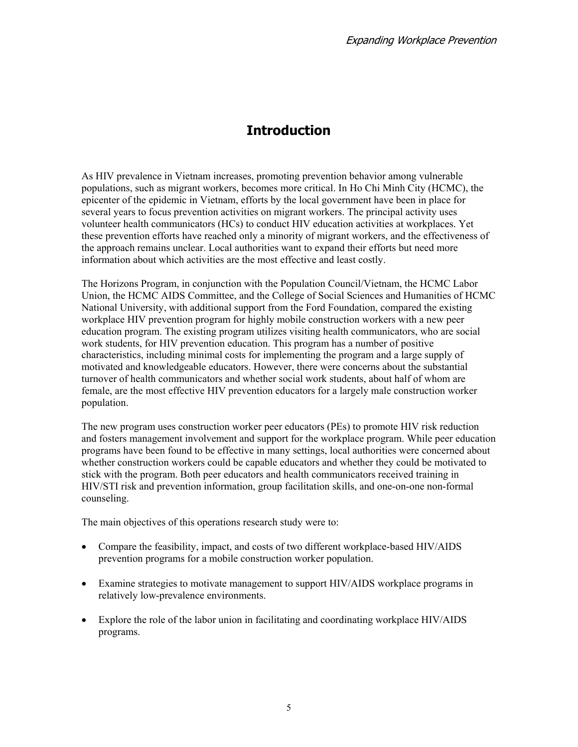# **Introduction**

As HIV prevalence in Vietnam increases, promoting prevention behavior among vulnerable populations, such as migrant workers, becomes more critical. In Ho Chi Minh City (HCMC), the epicenter of the epidemic in Vietnam, efforts by the local government have been in place for several years to focus prevention activities on migrant workers. The principal activity uses volunteer health communicators (HCs) to conduct HIV education activities at workplaces. Yet these prevention efforts have reached only a minority of migrant workers, and the effectiveness of the approach remains unclear. Local authorities want to expand their efforts but need more information about which activities are the most effective and least costly.

The Horizons Program, in conjunction with the Population Council/Vietnam, the HCMC Labor Union, the HCMC AIDS Committee, and the College of Social Sciences and Humanities of HCMC National University, with additional support from the Ford Foundation, compared the existing workplace HIV prevention program for highly mobile construction workers with a new peer education program. The existing program utilizes visiting health communicators, who are social work students, for HIV prevention education. This program has a number of positive characteristics, including minimal costs for implementing the program and a large supply of motivated and knowledgeable educators. However, there were concerns about the substantial turnover of health communicators and whether social work students, about half of whom are female, are the most effective HIV prevention educators for a largely male construction worker population.

The new program uses construction worker peer educators (PEs) to promote HIV risk reduction and fosters management involvement and support for the workplace program. While peer education programs have been found to be effective in many settings, local authorities were concerned about whether construction workers could be capable educators and whether they could be motivated to stick with the program. Both peer educators and health communicators received training in HIV/STI risk and prevention information, group facilitation skills, and one-on-one non-formal counseling.

The main objectives of this operations research study were to:

- Compare the feasibility, impact, and costs of two different workplace-based HIV/AIDS prevention programs for a mobile construction worker population.
- Examine strategies to motivate management to support HIV/AIDS workplace programs in relatively low-prevalence environments.
- Explore the role of the labor union in facilitating and coordinating workplace HIV/AIDS programs.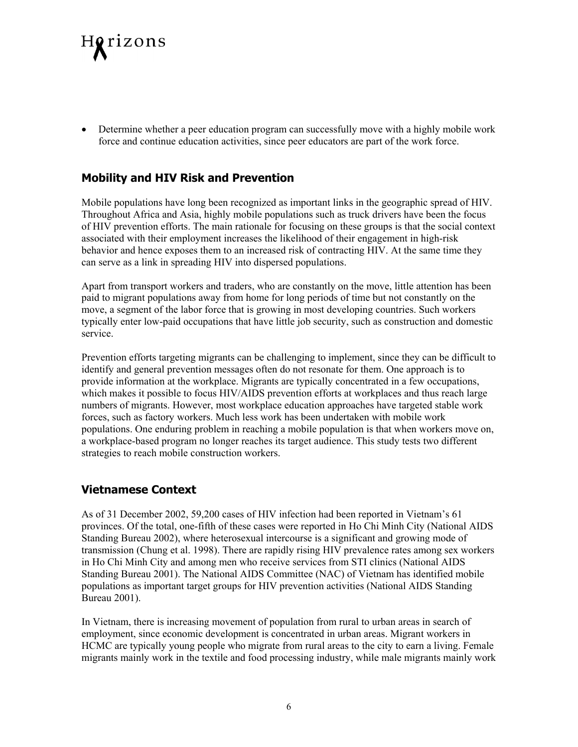

• Determine whether a peer education program can successfully move with a highly mobile work force and continue education activities, since peer educators are part of the work force.

### **Mobility and HIV Risk and Prevention**

Mobile populations have long been recognized as important links in the geographic spread of HIV. Throughout Africa and Asia, highly mobile populations such as truck drivers have been the focus of HIV prevention efforts. The main rationale for focusing on these groups is that the social context associated with their employment increases the likelihood of their engagement in high-risk behavior and hence exposes them to an increased risk of contracting HIV. At the same time they can serve as a link in spreading HIV into dispersed populations.

Apart from transport workers and traders, who are constantly on the move, little attention has been paid to migrant populations away from home for long periods of time but not constantly on the move, a segment of the labor force that is growing in most developing countries. Such workers typically enter low-paid occupations that have little job security, such as construction and domestic service.

Prevention efforts targeting migrants can be challenging to implement, since they can be difficult to identify and general prevention messages often do not resonate for them. One approach is to provide information at the workplace. Migrants are typically concentrated in a few occupations, which makes it possible to focus HIV/AIDS prevention efforts at workplaces and thus reach large numbers of migrants. However, most workplace education approaches have targeted stable work forces, such as factory workers. Much less work has been undertaken with mobile work populations. One enduring problem in reaching a mobile population is that when workers move on, a workplace-based program no longer reaches its target audience. This study tests two different strategies to reach mobile construction workers.

#### **Vietnamese Context**

As of 31 December 2002, 59,200 cases of HIV infection had been reported in Vietnam's 61 provinces. Of the total, one-fifth of these cases were reported in Ho Chi Minh City (National AIDS Standing Bureau 2002), where heterosexual intercourse is a significant and growing mode of transmission (Chung et al. 1998). There are rapidly rising HIV prevalence rates among sex workers in Ho Chi Minh City and among men who receive services from STI clinics (National AIDS Standing Bureau 2001). The National AIDS Committee (NAC) of Vietnam has identified mobile populations as important target groups for HIV prevention activities (National AIDS Standing Bureau 2001).

In Vietnam, there is increasing movement of population from rural to urban areas in search of employment, since economic development is concentrated in urban areas. Migrant workers in HCMC are typically young people who migrate from rural areas to the city to earn a living. Female migrants mainly work in the textile and food processing industry, while male migrants mainly work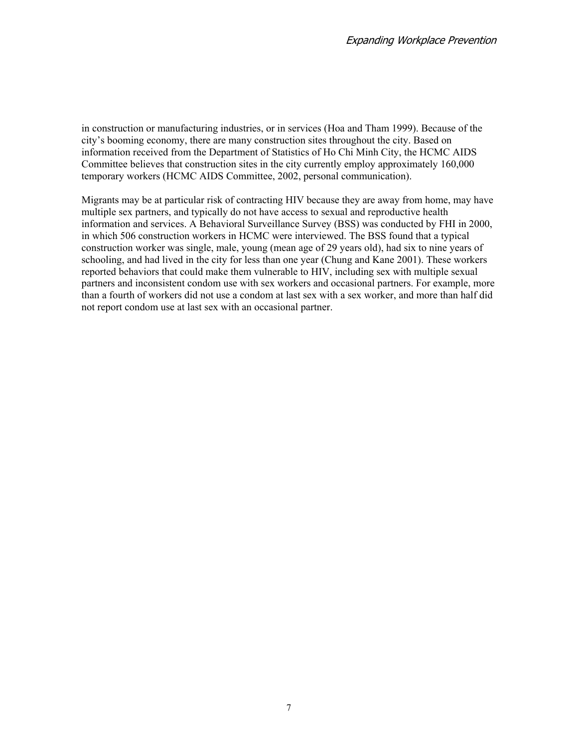in construction or manufacturing industries, or in services (Hoa and Tham 1999). Because of the city's booming economy, there are many construction sites throughout the city. Based on information received from the Department of Statistics of Ho Chi Minh City, the HCMC AIDS Committee believes that construction sites in the city currently employ approximately 160,000 temporary workers (HCMC AIDS Committee, 2002, personal communication).

Migrants may be at particular risk of contracting HIV because they are away from home, may have multiple sex partners, and typically do not have access to sexual and reproductive health information and services. A Behavioral Surveillance Survey (BSS) was conducted by FHI in 2000, in which 506 construction workers in HCMC were interviewed. The BSS found that a typical construction worker was single, male, young (mean age of 29 years old), had six to nine years of schooling, and had lived in the city for less than one year (Chung and Kane 2001). These workers reported behaviors that could make them vulnerable to HIV, including sex with multiple sexual partners and inconsistent condom use with sex workers and occasional partners. For example, more than a fourth of workers did not use a condom at last sex with a sex worker, and more than half did not report condom use at last sex with an occasional partner.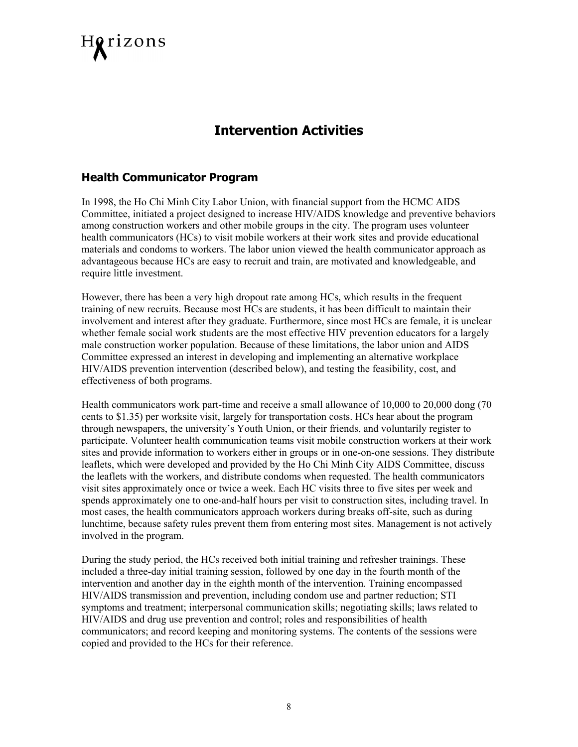

# **Intervention Activities**

#### **Health Communicator Program**

In 1998, the Ho Chi Minh City Labor Union, with financial support from the HCMC AIDS Committee, initiated a project designed to increase HIV/AIDS knowledge and preventive behaviors among construction workers and other mobile groups in the city. The program uses volunteer health communicators (HCs) to visit mobile workers at their work sites and provide educational materials and condoms to workers. The labor union viewed the health communicator approach as advantageous because HCs are easy to recruit and train, are motivated and knowledgeable, and require little investment.

However, there has been a very high dropout rate among HCs, which results in the frequent training of new recruits. Because most HCs are students, it has been difficult to maintain their involvement and interest after they graduate. Furthermore, since most HCs are female, it is unclear whether female social work students are the most effective HIV prevention educators for a largely male construction worker population. Because of these limitations, the labor union and AIDS Committee expressed an interest in developing and implementing an alternative workplace HIV/AIDS prevention intervention (described below), and testing the feasibility, cost, and effectiveness of both programs.

Health communicators work part-time and receive a small allowance of 10,000 to 20,000 dong (70 cents to \$1.35) per worksite visit, largely for transportation costs. HCs hear about the program through newspapers, the university's Youth Union, or their friends, and voluntarily register to participate. Volunteer health communication teams visit mobile construction workers at their work sites and provide information to workers either in groups or in one-on-one sessions. They distribute leaflets, which were developed and provided by the Ho Chi Minh City AIDS Committee, discuss the leaflets with the workers, and distribute condoms when requested. The health communicators visit sites approximately once or twice a week. Each HC visits three to five sites per week and spends approximately one to one-and-half hours per visit to construction sites, including travel. In most cases, the health communicators approach workers during breaks off-site, such as during lunchtime, because safety rules prevent them from entering most sites. Management is not actively involved in the program.

During the study period, the HCs received both initial training and refresher trainings. These included a three-day initial training session, followed by one day in the fourth month of the intervention and another day in the eighth month of the intervention. Training encompassed HIV/AIDS transmission and prevention, including condom use and partner reduction; STI symptoms and treatment; interpersonal communication skills; negotiating skills; laws related to HIV/AIDS and drug use prevention and control; roles and responsibilities of health communicators; and record keeping and monitoring systems. The contents of the sessions were copied and provided to the HCs for their reference.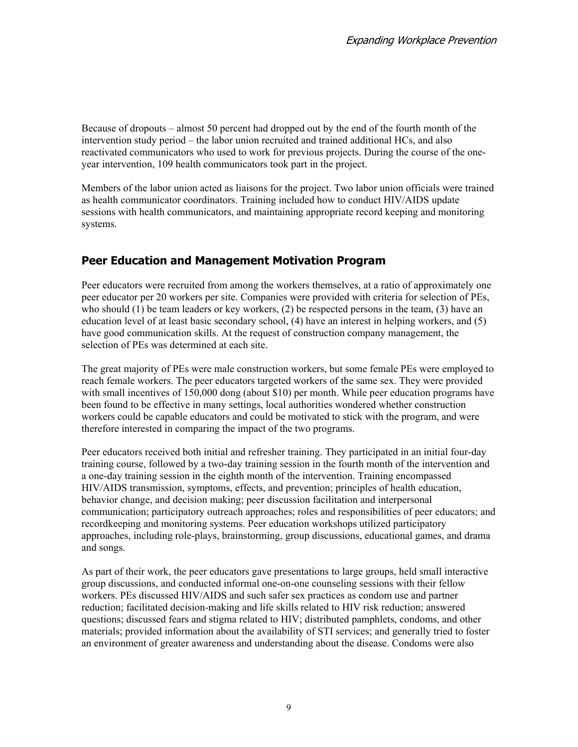Because of dropouts – almost 50 percent had dropped out by the end of the fourth month of the intervention study period – the labor union recruited and trained additional HCs, and also reactivated communicators who used to work for previous projects. During the course of the oneyear intervention, 109 health communicators took part in the project.

Members of the labor union acted as liaisons for the project. Two labor union officials were trained as health communicator coordinators. Training included how to conduct HIV/AIDS update sessions with health communicators, and maintaining appropriate record keeping and monitoring systems.

## **Peer Education and Management Motivation Program**

Peer educators were recruited from among the workers themselves, at a ratio of approximately one peer educator per 20 workers per site. Companies were provided with criteria for selection of PEs, who should (1) be team leaders or key workers, (2) be respected persons in the team, (3) have an education level of at least basic secondary school, (4) have an interest in helping workers, and (5) have good communication skills. At the request of construction company management, the selection of PEs was determined at each site.

The great majority of PEs were male construction workers, but some female PEs were employed to reach female workers. The peer educators targeted workers of the same sex. They were provided with small incentives of 150,000 dong (about \$10) per month. While peer education programs have been found to be effective in many settings, local authorities wondered whether construction workers could be capable educators and could be motivated to stick with the program, and were therefore interested in comparing the impact of the two programs.

Peer educators received both initial and refresher training. They participated in an initial four-day training course, followed by a two-day training session in the fourth month of the intervention and a one-day training session in the eighth month of the intervention. Training encompassed HIV/AIDS transmission, symptoms, effects, and prevention; principles of health education, behavior change, and decision making; peer discussion facilitation and interpersonal communication; participatory outreach approaches; roles and responsibilities of peer educators; and recordkeeping and monitoring systems. Peer education workshops utilized participatory approaches, including role-plays, brainstorming, group discussions, educational games, and drama and songs.

As part of their work, the peer educators gave presentations to large groups, held small interactive group discussions, and conducted informal one-on-one counseling sessions with their fellow workers. PEs discussed HIV/AIDS and such safer sex practices as condom use and partner reduction; facilitated decision-making and life skills related to HIV risk reduction; answered questions; discussed fears and stigma related to HIV; distributed pamphlets, condoms, and other materials; provided information about the availability of STI services; and generally tried to foster an environment of greater awareness and understanding about the disease. Condoms were also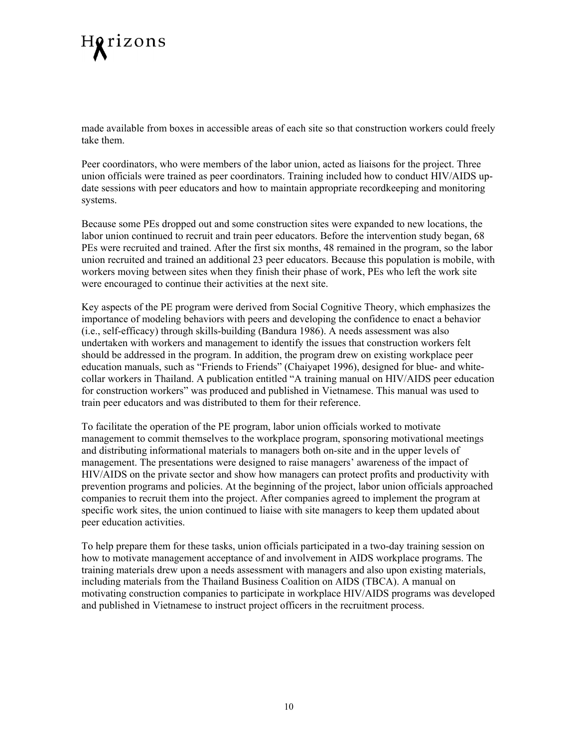# Horizons

made available from boxes in accessible areas of each site so that construction workers could freely take them.

Peer coordinators, who were members of the labor union, acted as liaisons for the project. Three union officials were trained as peer coordinators. Training included how to conduct HIV/AIDS update sessions with peer educators and how to maintain appropriate recordkeeping and monitoring systems.

Because some PEs dropped out and some construction sites were expanded to new locations, the labor union continued to recruit and train peer educators. Before the intervention study began, 68 PEs were recruited and trained. After the first six months, 48 remained in the program, so the labor union recruited and trained an additional 23 peer educators. Because this population is mobile, with workers moving between sites when they finish their phase of work, PEs who left the work site were encouraged to continue their activities at the next site.

Key aspects of the PE program were derived from Social Cognitive Theory, which emphasizes the importance of modeling behaviors with peers and developing the confidence to enact a behavior (i.e., self-efficacy) through skills-building (Bandura 1986). A needs assessment was also undertaken with workers and management to identify the issues that construction workers felt should be addressed in the program. In addition, the program drew on existing workplace peer education manuals, such as "Friends to Friends" (Chaiyapet 1996), designed for blue- and whitecollar workers in Thailand. A publication entitled "A training manual on HIV/AIDS peer education for construction workers" was produced and published in Vietnamese. This manual was used to train peer educators and was distributed to them for their reference.

To facilitate the operation of the PE program, labor union officials worked to motivate management to commit themselves to the workplace program, sponsoring motivational meetings and distributing informational materials to managers both on-site and in the upper levels of management. The presentations were designed to raise managers' awareness of the impact of HIV/AIDS on the private sector and show how managers can protect profits and productivity with prevention programs and policies. At the beginning of the project, labor union officials approached companies to recruit them into the project. After companies agreed to implement the program at specific work sites, the union continued to liaise with site managers to keep them updated about peer education activities.

To help prepare them for these tasks, union officials participated in a two-day training session on how to motivate management acceptance of and involvement in AIDS workplace programs. The training materials drew upon a needs assessment with managers and also upon existing materials, including materials from the Thailand Business Coalition on AIDS (TBCA). A manual on motivating construction companies to participate in workplace HIV/AIDS programs was developed and published in Vietnamese to instruct project officers in the recruitment process.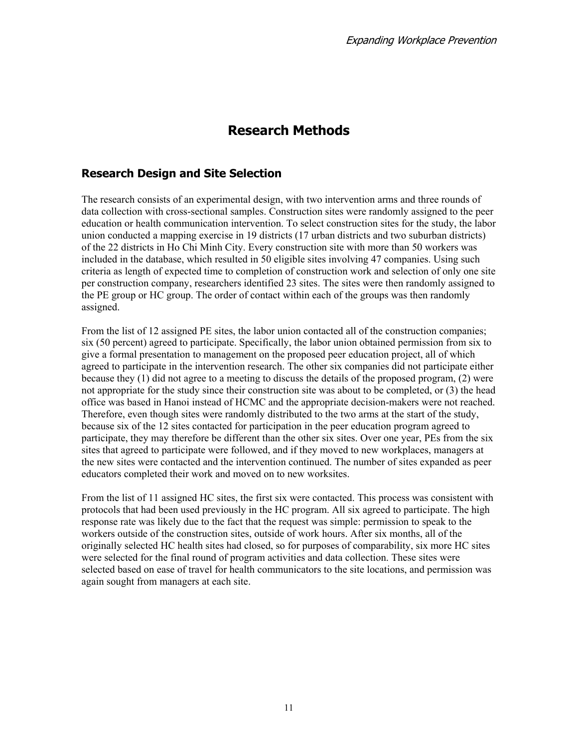# **Research Methods**

## **Research Design and Site Selection**

The research consists of an experimental design, with two intervention arms and three rounds of data collection with cross-sectional samples. Construction sites were randomly assigned to the peer education or health communication intervention. To select construction sites for the study, the labor union conducted a mapping exercise in 19 districts (17 urban districts and two suburban districts) of the 22 districts in Ho Chi Minh City. Every construction site with more than 50 workers was included in the database, which resulted in 50 eligible sites involving 47 companies. Using such criteria as length of expected time to completion of construction work and selection of only one site per construction company, researchers identified 23 sites. The sites were then randomly assigned to the PE group or HC group. The order of contact within each of the groups was then randomly assigned.

From the list of 12 assigned PE sites, the labor union contacted all of the construction companies; six (50 percent) agreed to participate. Specifically, the labor union obtained permission from six to give a formal presentation to management on the proposed peer education project, all of which agreed to participate in the intervention research. The other six companies did not participate either because they (1) did not agree to a meeting to discuss the details of the proposed program, (2) were not appropriate for the study since their construction site was about to be completed, or (3) the head office was based in Hanoi instead of HCMC and the appropriate decision-makers were not reached. Therefore, even though sites were randomly distributed to the two arms at the start of the study, because six of the 12 sites contacted for participation in the peer education program agreed to participate, they may therefore be different than the other six sites. Over one year, PEs from the six sites that agreed to participate were followed, and if they moved to new workplaces, managers at the new sites were contacted and the intervention continued. The number of sites expanded as peer educators completed their work and moved on to new worksites.

From the list of 11 assigned HC sites, the first six were contacted. This process was consistent with protocols that had been used previously in the HC program. All six agreed to participate. The high response rate was likely due to the fact that the request was simple: permission to speak to the workers outside of the construction sites, outside of work hours. After six months, all of the originally selected HC health sites had closed, so for purposes of comparability, six more HC sites were selected for the final round of program activities and data collection. These sites were selected based on ease of travel for health communicators to the site locations, and permission was again sought from managers at each site.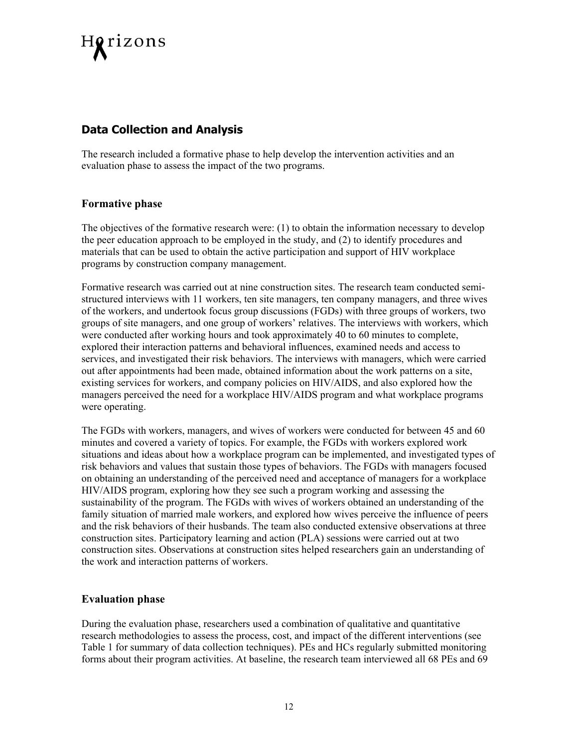

### **Data Collection and Analysis**

The research included a formative phase to help develop the intervention activities and an evaluation phase to assess the impact of the two programs.

#### **Formative phase**

The objectives of the formative research were: (1) to obtain the information necessary to develop the peer education approach to be employed in the study, and (2) to identify procedures and materials that can be used to obtain the active participation and support of HIV workplace programs by construction company management.

Formative research was carried out at nine construction sites. The research team conducted semistructured interviews with 11 workers, ten site managers, ten company managers, and three wives of the workers, and undertook focus group discussions (FGDs) with three groups of workers, two groups of site managers, and one group of workers' relatives. The interviews with workers, which were conducted after working hours and took approximately 40 to 60 minutes to complete, explored their interaction patterns and behavioral influences, examined needs and access to services, and investigated their risk behaviors. The interviews with managers, which were carried out after appointments had been made, obtained information about the work patterns on a site, existing services for workers, and company policies on HIV/AIDS, and also explored how the managers perceived the need for a workplace HIV/AIDS program and what workplace programs were operating.

The FGDs with workers, managers, and wives of workers were conducted for between 45 and 60 minutes and covered a variety of topics. For example, the FGDs with workers explored work situations and ideas about how a workplace program can be implemented, and investigated types of risk behaviors and values that sustain those types of behaviors. The FGDs with managers focused on obtaining an understanding of the perceived need and acceptance of managers for a workplace HIV/AIDS program, exploring how they see such a program working and assessing the sustainability of the program. The FGDs with wives of workers obtained an understanding of the family situation of married male workers, and explored how wives perceive the influence of peers and the risk behaviors of their husbands. The team also conducted extensive observations at three construction sites. Participatory learning and action (PLA) sessions were carried out at two construction sites. Observations at construction sites helped researchers gain an understanding of the work and interaction patterns of workers.

#### **Evaluation phase**

During the evaluation phase, researchers used a combination of qualitative and quantitative research methodologies to assess the process, cost, and impact of the different interventions (see Table 1 for summary of data collection techniques). PEs and HCs regularly submitted monitoring forms about their program activities. At baseline, the research team interviewed all 68 PEs and 69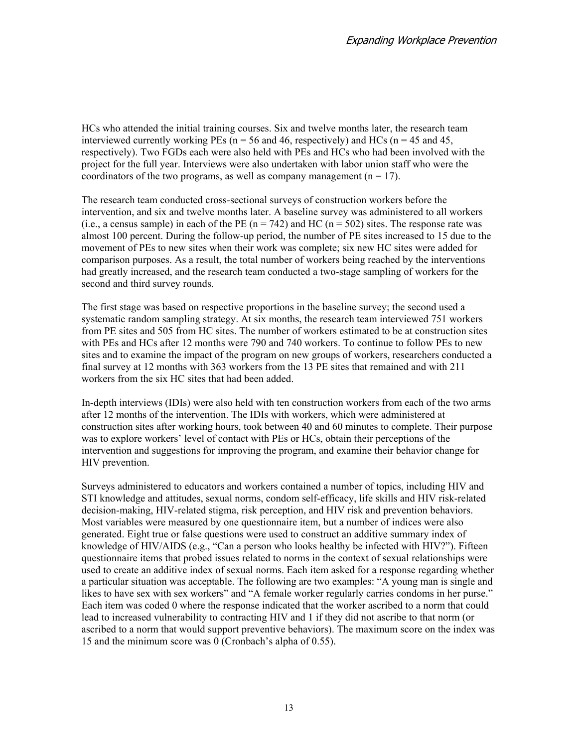HCs who attended the initial training courses. Six and twelve months later, the research team interviewed currently working PEs ( $n = 56$  and 46, respectively) and HCs ( $n = 45$  and 45, respectively). Two FGDs each were also held with PEs and HCs who had been involved with the project for the full year. Interviews were also undertaken with labor union staff who were the coordinators of the two programs, as well as company management  $(n = 17)$ .

The research team conducted cross-sectional surveys of construction workers before the intervention, and six and twelve months later. A baseline survey was administered to all workers (i.e., a census sample) in each of the PE  $(n = 742)$  and HC  $(n = 502)$  sites. The response rate was almost 100 percent. During the follow-up period, the number of PE sites increased to 15 due to the movement of PEs to new sites when their work was complete; six new HC sites were added for comparison purposes. As a result, the total number of workers being reached by the interventions had greatly increased, and the research team conducted a two-stage sampling of workers for the second and third survey rounds.

The first stage was based on respective proportions in the baseline survey; the second used a systematic random sampling strategy. At six months, the research team interviewed 751 workers from PE sites and 505 from HC sites. The number of workers estimated to be at construction sites with PEs and HCs after 12 months were 790 and 740 workers. To continue to follow PEs to new sites and to examine the impact of the program on new groups of workers, researchers conducted a final survey at 12 months with 363 workers from the 13 PE sites that remained and with 211 workers from the six HC sites that had been added.

In-depth interviews (IDIs) were also held with ten construction workers from each of the two arms after 12 months of the intervention. The IDIs with workers, which were administered at construction sites after working hours, took between 40 and 60 minutes to complete. Their purpose was to explore workers' level of contact with PEs or HCs, obtain their perceptions of the intervention and suggestions for improving the program, and examine their behavior change for HIV prevention.

Surveys administered to educators and workers contained a number of topics, including HIV and STI knowledge and attitudes, sexual norms, condom self-efficacy, life skills and HIV risk-related decision-making, HIV-related stigma, risk perception, and HIV risk and prevention behaviors. Most variables were measured by one questionnaire item, but a number of indices were also generated. Eight true or false questions were used to construct an additive summary index of knowledge of HIV/AIDS (e.g., "Can a person who looks healthy be infected with HIV?"). Fifteen questionnaire items that probed issues related to norms in the context of sexual relationships were used to create an additive index of sexual norms. Each item asked for a response regarding whether a particular situation was acceptable. The following are two examples: "A young man is single and likes to have sex with sex workers" and "A female worker regularly carries condoms in her purse." Each item was coded 0 where the response indicated that the worker ascribed to a norm that could lead to increased vulnerability to contracting HIV and 1 if they did not ascribe to that norm (or ascribed to a norm that would support preventive behaviors). The maximum score on the index was 15 and the minimum score was 0 (Cronbach's alpha of 0.55).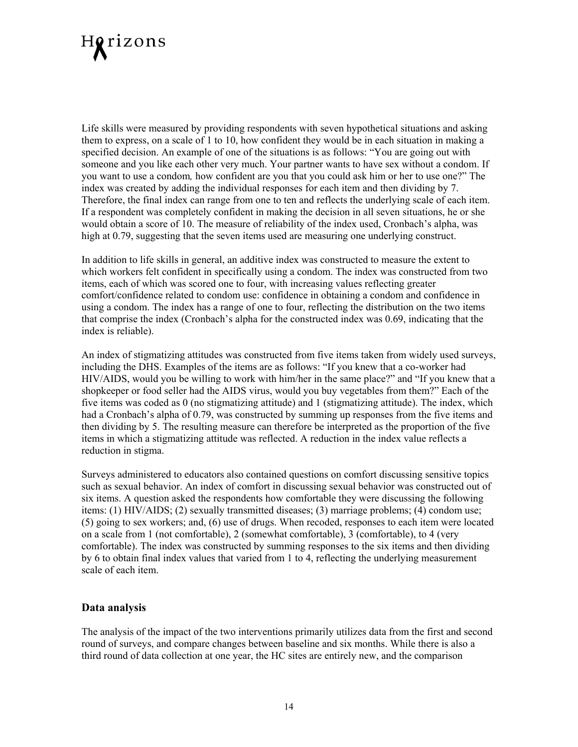

Life skills were measured by providing respondents with seven hypothetical situations and asking them to express, on a scale of 1 to 10, how confident they would be in each situation in making a specified decision. An example of one of the situations is as follows: "You are going out with someone and you like each other very much. Your partner wants to have sex without a condom. If you want to use a condom*,* how confident are you that you could ask him or her to use one?" The index was created by adding the individual responses for each item and then dividing by 7. Therefore, the final index can range from one to ten and reflects the underlying scale of each item. If a respondent was completely confident in making the decision in all seven situations, he or she would obtain a score of 10. The measure of reliability of the index used, Cronbach's alpha, was high at 0.79, suggesting that the seven items used are measuring one underlying construct.

In addition to life skills in general, an additive index was constructed to measure the extent to which workers felt confident in specifically using a condom. The index was constructed from two items, each of which was scored one to four, with increasing values reflecting greater comfort/confidence related to condom use: confidence in obtaining a condom and confidence in using a condom. The index has a range of one to four, reflecting the distribution on the two items that comprise the index (Cronbach's alpha for the constructed index was 0.69, indicating that the index is reliable).

An index of stigmatizing attitudes was constructed from five items taken from widely used surveys, including the DHS. Examples of the items are as follows: "If you knew that a co-worker had HIV/AIDS, would you be willing to work with him/her in the same place?" and "If you knew that a shopkeeper or food seller had the AIDS virus, would you buy vegetables from them?" Each of the five items was coded as 0 (no stigmatizing attitude) and 1 (stigmatizing attitude). The index, which had a Cronbach's alpha of 0.79, was constructed by summing up responses from the five items and then dividing by 5. The resulting measure can therefore be interpreted as the proportion of the five items in which a stigmatizing attitude was reflected. A reduction in the index value reflects a reduction in stigma.

Surveys administered to educators also contained questions on comfort discussing sensitive topics such as sexual behavior. An index of comfort in discussing sexual behavior was constructed out of six items. A question asked the respondents how comfortable they were discussing the following items: (1) HIV/AIDS; (2) sexually transmitted diseases; (3) marriage problems; (4) condom use; (5) going to sex workers; and, (6) use of drugs. When recoded, responses to each item were located on a scale from 1 (not comfortable), 2 (somewhat comfortable), 3 (comfortable), to 4 (very comfortable). The index was constructed by summing responses to the six items and then dividing by 6 to obtain final index values that varied from 1 to 4, reflecting the underlying measurement scale of each item.

#### **Data analysis**

The analysis of the impact of the two interventions primarily utilizes data from the first and second round of surveys, and compare changes between baseline and six months. While there is also a third round of data collection at one year, the HC sites are entirely new, and the comparison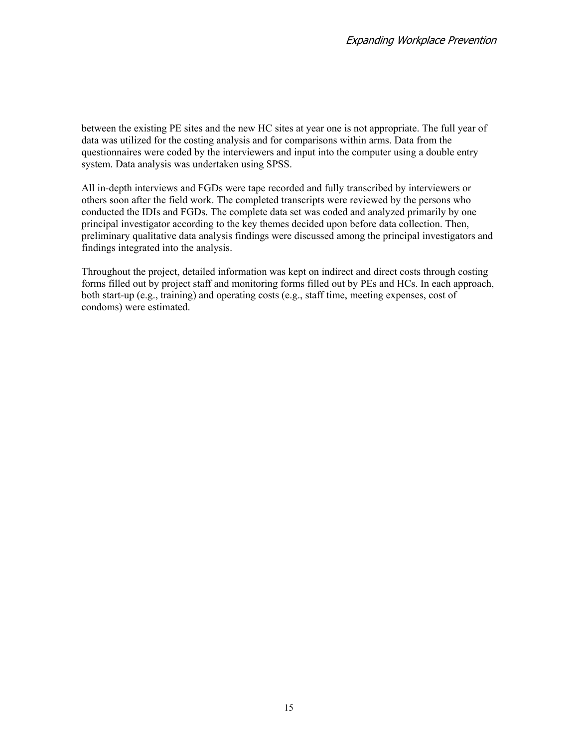between the existing PE sites and the new HC sites at year one is not appropriate. The full year of data was utilized for the costing analysis and for comparisons within arms. Data from the questionnaires were coded by the interviewers and input into the computer using a double entry system. Data analysis was undertaken using SPSS.

All in-depth interviews and FGDs were tape recorded and fully transcribed by interviewers or others soon after the field work. The completed transcripts were reviewed by the persons who conducted the IDIs and FGDs. The complete data set was coded and analyzed primarily by one principal investigator according to the key themes decided upon before data collection. Then, preliminary qualitative data analysis findings were discussed among the principal investigators and findings integrated into the analysis.

Throughout the project, detailed information was kept on indirect and direct costs through costing forms filled out by project staff and monitoring forms filled out by PEs and HCs. In each approach, both start-up (e.g., training) and operating costs (e.g., staff time, meeting expenses, cost of condoms) were estimated.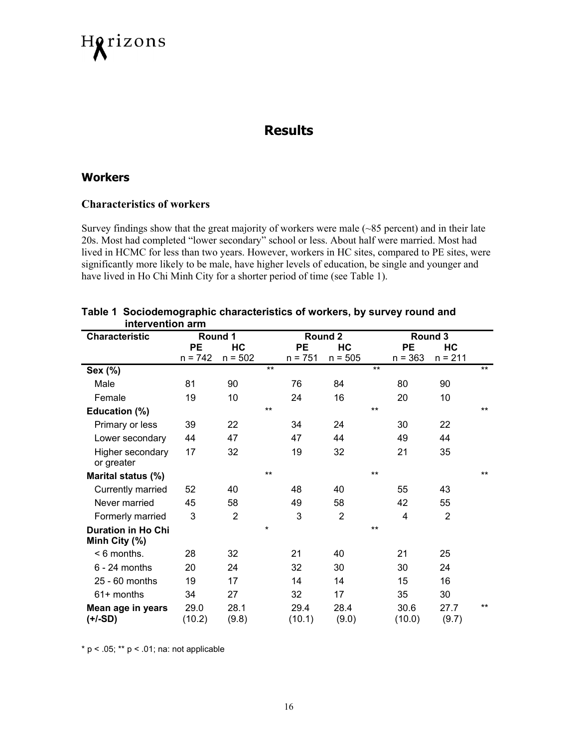

## **Results**

#### **Workers**

#### **Characteristics of workers**

Survey findings show that the great majority of workers were male (~85 percent) and in their late 20s. Most had completed "lower secondary" school or less. About half were married. Most had lived in HCMC for less than two years. However, workers in HC sites, compared to PE sites, were significantly more likely to be male, have higher levels of education, be single and younger and have lived in Ho Chi Minh City for a shorter period of time (see Table 1).

| <b>Characteristic</b>          | Round 1        |                |         |                | Round 2        |       |                | Round 3        |       |
|--------------------------------|----------------|----------------|---------|----------------|----------------|-------|----------------|----------------|-------|
|                                | <b>PE</b>      | HC             |         | <b>PE</b>      | HC             |       | PE             | HС             |       |
|                                | $n = 742$      | $n = 502$      |         | $n = 751$      | $n = 505$      |       | $n = 363$      | $n = 211$      |       |
| Sex (%)                        |                |                | $***$   |                |                | $***$ |                |                | $***$ |
| Male                           | 81             | 90             |         | 76             | 84             |       | 80             | 90             |       |
| Female                         | 19             | 10             |         | 24             | 16             |       | 20             | 10             |       |
| Education (%)                  |                |                | **      |                |                | $***$ |                |                | $***$ |
| Primary or less                | 39             | 22             |         | 34             | 24             |       | 30             | 22             |       |
| Lower secondary                | 44             | 47             |         | 47             | 44             |       | 49             | 44             |       |
| Higher secondary               | 17             | 32             |         | 19             | 32             |       | 21             | 35             |       |
| or greater                     |                |                |         |                |                |       |                |                |       |
| Marital status (%)             |                |                | **      |                |                | $***$ |                |                | $***$ |
| Currently married              | 52             | 40             |         | 48             | 40             |       | 55             | 43             |       |
| Never married                  | 45             | 58             |         | 49             | 58             |       | 42             | 55             |       |
| Formerly married               | 3              | $\overline{2}$ |         | 3              | $\overline{2}$ |       | 4              | $\overline{2}$ |       |
| <b>Duration in Ho Chi</b>      |                |                | $\star$ |                |                | $***$ |                |                |       |
| Minh City (%)                  |                |                |         |                |                |       |                |                |       |
| $< 6$ months.                  | 28             | 32             |         | 21             | 40             |       | 21             | 25             |       |
| $6 - 24$ months                | 20             | 24             |         | 32             | 30             |       | 30             | 24             |       |
| 25 - 60 months                 | 19             | 17             |         | 14             | 14             |       | 15             | 16             |       |
| $61+$ months                   | 34             | 27             |         | 32             | 17             |       | 35             | 30             |       |
| Mean age in years<br>$(+/-SD)$ | 29.0<br>(10.2) | 28.1<br>(9.8)  |         | 29.4<br>(10.1) | 28.4<br>(9.0)  |       | 30.6<br>(10.0) | 27.7<br>(9.7)  | $***$ |

| Table 1 Sociodemographic characteristics of workers, by survey round and |
|--------------------------------------------------------------------------|
| intervention arm                                                         |

 $* p < .05; ** p < .01;$  na: not applicable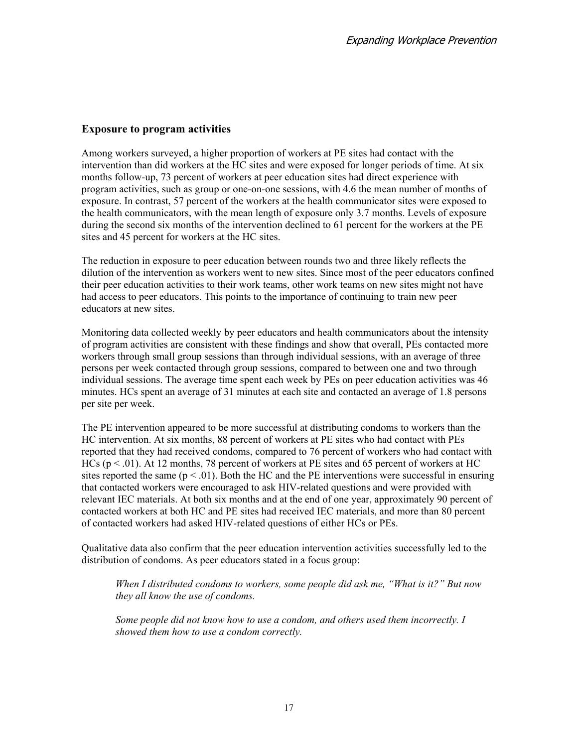#### **Exposure to program activities**

Among workers surveyed, a higher proportion of workers at PE sites had contact with the intervention than did workers at the HC sites and were exposed for longer periods of time. At six months follow-up, 73 percent of workers at peer education sites had direct experience with program activities, such as group or one-on-one sessions, with 4.6 the mean number of months of exposure. In contrast, 57 percent of the workers at the health communicator sites were exposed to the health communicators, with the mean length of exposure only 3.7 months. Levels of exposure during the second six months of the intervention declined to 61 percent for the workers at the PE sites and 45 percent for workers at the HC sites.

The reduction in exposure to peer education between rounds two and three likely reflects the dilution of the intervention as workers went to new sites. Since most of the peer educators confined their peer education activities to their work teams, other work teams on new sites might not have had access to peer educators. This points to the importance of continuing to train new peer educators at new sites.

Monitoring data collected weekly by peer educators and health communicators about the intensity of program activities are consistent with these findings and show that overall, PEs contacted more workers through small group sessions than through individual sessions, with an average of three persons per week contacted through group sessions, compared to between one and two through individual sessions. The average time spent each week by PEs on peer education activities was 46 minutes. HCs spent an average of 31 minutes at each site and contacted an average of 1.8 persons per site per week.

The PE intervention appeared to be more successful at distributing condoms to workers than the HC intervention. At six months, 88 percent of workers at PE sites who had contact with PEs reported that they had received condoms, compared to 76 percent of workers who had contact with HCs ( $p < .01$ ). At 12 months, 78 percent of workers at PE sites and 65 percent of workers at HC sites reported the same  $(p < .01)$ . Both the HC and the PE interventions were successful in ensuring that contacted workers were encouraged to ask HIV-related questions and were provided with relevant IEC materials. At both six months and at the end of one year, approximately 90 percent of contacted workers at both HC and PE sites had received IEC materials, and more than 80 percent of contacted workers had asked HIV-related questions of either HCs or PEs.

Qualitative data also confirm that the peer education intervention activities successfully led to the distribution of condoms. As peer educators stated in a focus group:

*When I distributed condoms to workers, some people did ask me, "What is it?" But now they all know the use of condoms.* 

*Some people did not know how to use a condom, and others used them incorrectly. I showed them how to use a condom correctly.*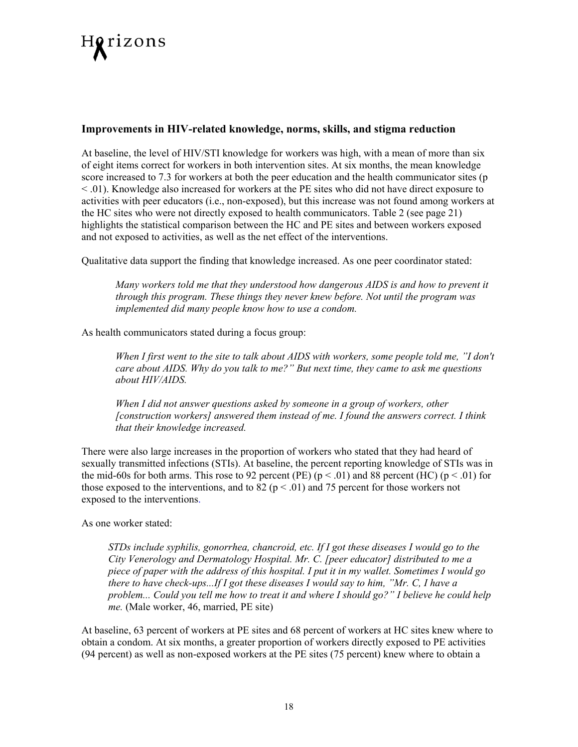

#### **Improvements in HIV-related knowledge, norms, skills, and stigma reduction**

At baseline, the level of HIV/STI knowledge for workers was high, with a mean of more than six of eight items correct for workers in both intervention sites. At six months, the mean knowledge score increased to 7.3 for workers at both the peer education and the health communicator sites (p < .01). Knowledge also increased for workers at the PE sites who did not have direct exposure to activities with peer educators (i.e., non-exposed), but this increase was not found among workers at the HC sites who were not directly exposed to health communicators. Table 2 (see page 21) highlights the statistical comparison between the HC and PE sites and between workers exposed and not exposed to activities, as well as the net effect of the interventions.

Qualitative data support the finding that knowledge increased. As one peer coordinator stated:

*Many workers told me that they understood how dangerous AIDS is and how to prevent it through this program. These things they never knew before. Not until the program was implemented did many people know how to use a condom.*

As health communicators stated during a focus group:

*When I first went to the site to talk about AIDS with workers, some people told me, "I don't care about AIDS. Why do you talk to me?" But next time, they came to ask me questions about HIV/AIDS.* 

*When I did not answer questions asked by someone in a group of workers, other [construction workers] answered them instead of me. I found the answers correct. I think that their knowledge increased.* 

There were also large increases in the proportion of workers who stated that they had heard of sexually transmitted infections (STIs). At baseline, the percent reporting knowledge of STIs was in the mid-60s for both arms. This rose to 92 percent (PE)  $(p < .01)$  and 88 percent (HC)  $(p < .01)$  for those exposed to the interventions, and to 82 ( $p < .01$ ) and 75 percent for those workers not exposed to the interventions.

As one worker stated:

*STDs include syphilis, gonorrhea, chancroid, etc. If I got these diseases I would go to the City Venerology and Dermatology Hospital. Mr. C. [peer educator] distributed to me a piece of paper with the address of this hospital. I put it in my wallet. Sometimes I would go there to have check-ups...If I got these diseases I would say to him, "Mr. C, I have a problem... Could you tell me how to treat it and where I should go?" I believe he could help me.* (Male worker, 46, married, PE site)

At baseline, 63 percent of workers at PE sites and 68 percent of workers at HC sites knew where to obtain a condom. At six months, a greater proportion of workers directly exposed to PE activities (94 percent) as well as non-exposed workers at the PE sites (75 percent) knew where to obtain a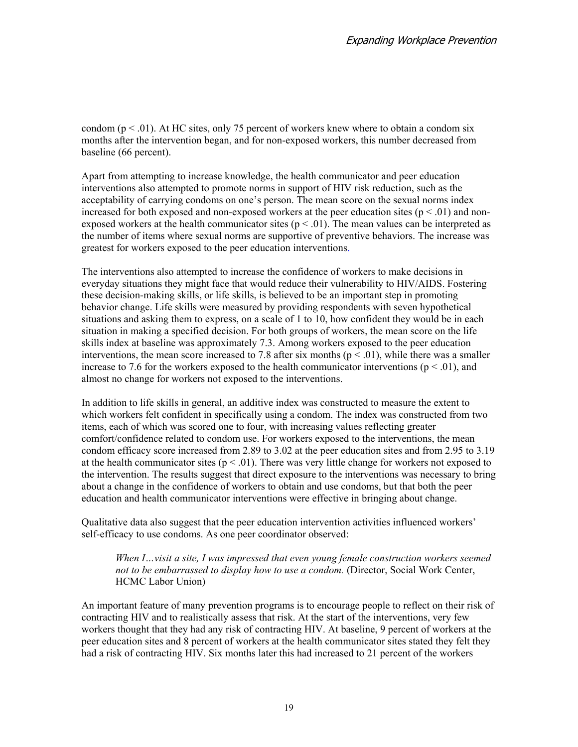condom ( $p < 0.01$ ). At HC sites, only 75 percent of workers knew where to obtain a condom six months after the intervention began, and for non-exposed workers, this number decreased from baseline (66 percent).

Apart from attempting to increase knowledge, the health communicator and peer education interventions also attempted to promote norms in support of HIV risk reduction, such as the acceptability of carrying condoms on one's person. The mean score on the sexual norms index increased for both exposed and non-exposed workers at the peer education sites ( $p < .01$ ) and nonexposed workers at the health communicator sites ( $p < .01$ ). The mean values can be interpreted as the number of items where sexual norms are supportive of preventive behaviors. The increase was greatest for workers exposed to the peer education interventions.

The interventions also attempted to increase the confidence of workers to make decisions in everyday situations they might face that would reduce their vulnerability to HIV/AIDS. Fostering these decision-making skills, or life skills, is believed to be an important step in promoting behavior change. Life skills were measured by providing respondents with seven hypothetical situations and asking them to express, on a scale of 1 to 10, how confident they would be in each situation in making a specified decision. For both groups of workers, the mean score on the life skills index at baseline was approximately 7.3. Among workers exposed to the peer education interventions, the mean score increased to 7.8 after six months ( $p < .01$ ), while there was a smaller increase to 7.6 for the workers exposed to the health communicator interventions ( $p < .01$ ), and almost no change for workers not exposed to the interventions.

In addition to life skills in general, an additive index was constructed to measure the extent to which workers felt confident in specifically using a condom. The index was constructed from two items, each of which was scored one to four, with increasing values reflecting greater comfort/confidence related to condom use. For workers exposed to the interventions, the mean condom efficacy score increased from 2.89 to 3.02 at the peer education sites and from 2.95 to 3.19 at the health communicator sites ( $p < .01$ ). There was very little change for workers not exposed to the intervention. The results suggest that direct exposure to the interventions was necessary to bring about a change in the confidence of workers to obtain and use condoms, but that both the peer education and health communicator interventions were effective in bringing about change.

Qualitative data also suggest that the peer education intervention activities influenced workers' self-efficacy to use condoms. As one peer coordinator observed:

*When I…visit a site, I was impressed that even young female construction workers seemed not to be embarrassed to display how to use a condom.* (Director, Social Work Center, HCMC Labor Union)

An important feature of many prevention programs is to encourage people to reflect on their risk of contracting HIV and to realistically assess that risk. At the start of the interventions, very few workers thought that they had any risk of contracting HIV. At baseline, 9 percent of workers at the peer education sites and 8 percent of workers at the health communicator sites stated they felt they had a risk of contracting HIV. Six months later this had increased to 21 percent of the workers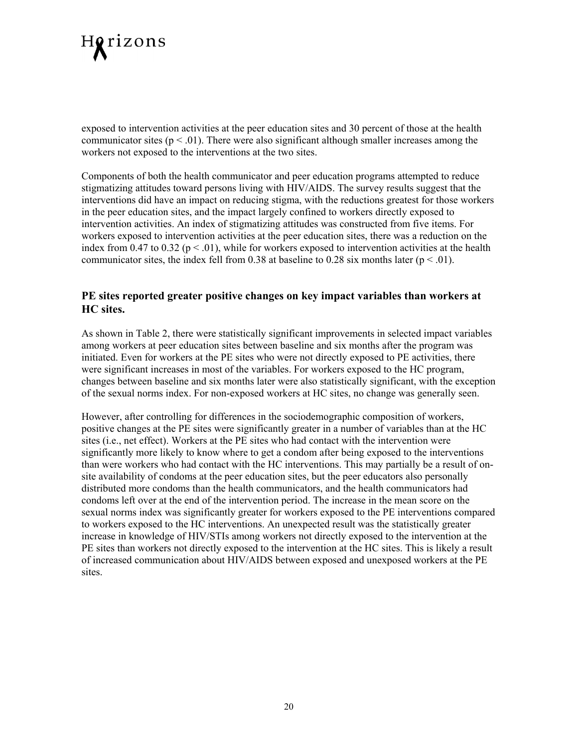

exposed to intervention activities at the peer education sites and 30 percent of those at the health communicator sites  $(p < .01)$ . There were also significant although smaller increases among the workers not exposed to the interventions at the two sites.

Components of both the health communicator and peer education programs attempted to reduce stigmatizing attitudes toward persons living with HIV/AIDS. The survey results suggest that the interventions did have an impact on reducing stigma, with the reductions greatest for those workers in the peer education sites, and the impact largely confined to workers directly exposed to intervention activities. An index of stigmatizing attitudes was constructed from five items. For workers exposed to intervention activities at the peer education sites, there was a reduction on the index from 0.47 to 0.32 ( $p < .01$ ), while for workers exposed to intervention activities at the health communicator sites, the index fell from 0.38 at baseline to 0.28 six months later ( $p < .01$ ).

#### **PE sites reported greater positive changes on key impact variables than workers at HC sites.**

As shown in Table 2, there were statistically significant improvements in selected impact variables among workers at peer education sites between baseline and six months after the program was initiated. Even for workers at the PE sites who were not directly exposed to PE activities, there were significant increases in most of the variables. For workers exposed to the HC program, changes between baseline and six months later were also statistically significant, with the exception of the sexual norms index. For non-exposed workers at HC sites, no change was generally seen.

However, after controlling for differences in the sociodemographic composition of workers, positive changes at the PE sites were significantly greater in a number of variables than at the HC sites (i.e., net effect). Workers at the PE sites who had contact with the intervention were significantly more likely to know where to get a condom after being exposed to the interventions than were workers who had contact with the HC interventions. This may partially be a result of onsite availability of condoms at the peer education sites, but the peer educators also personally distributed more condoms than the health communicators, and the health communicators had condoms left over at the end of the intervention period. The increase in the mean score on the sexual norms index was significantly greater for workers exposed to the PE interventions compared to workers exposed to the HC interventions. An unexpected result was the statistically greater increase in knowledge of HIV/STIs among workers not directly exposed to the intervention at the PE sites than workers not directly exposed to the intervention at the HC sites. This is likely a result of increased communication about HIV/AIDS between exposed and unexposed workers at the PE sites.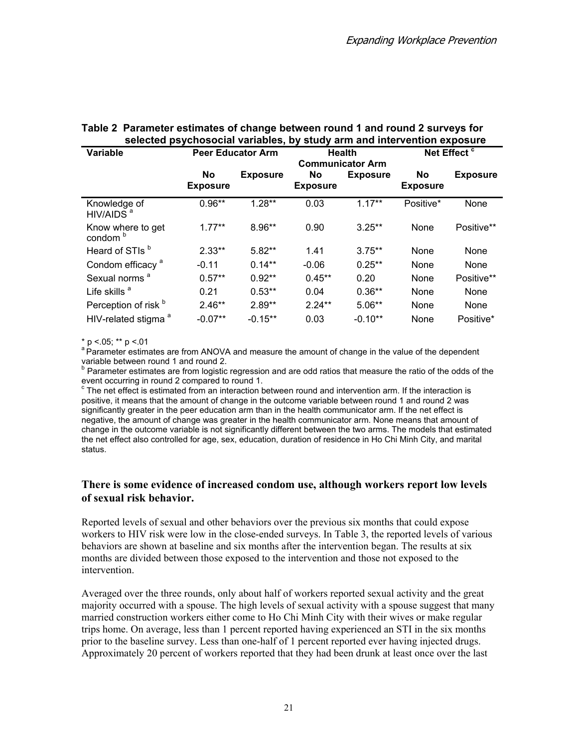| <b>Variable</b>                          | <b>Peer Educator Arm</b> | Net Effect <sup>c</sup><br>Health<br><b>Communicator Arm</b> |                       |                 |                       |                 |
|------------------------------------------|--------------------------|--------------------------------------------------------------|-----------------------|-----------------|-----------------------|-----------------|
|                                          | No<br><b>Exposure</b>    | <b>Exposure</b>                                              | No<br><b>Exposure</b> | <b>Exposure</b> | No<br><b>Exposure</b> | <b>Exposure</b> |
| Knowledge of<br>HIV/AIDS <sup>a</sup>    | $0.96**$                 | $1.28**$                                                     | 0.03                  | $1.17***$       | Positive*             | None            |
| Know where to get<br>condom <sup>b</sup> | $1.77***$                | 8.96**                                                       | 0.90                  | $3.25**$        | None                  | Positive**      |
| Heard of STIs <sup>b</sup>               | $2.33**$                 | $5.82**$                                                     | 1.41                  | $3.75**$        | None                  | None            |
| Condom efficacy <sup>a</sup>             | $-0.11$                  | $0.14***$                                                    | $-0.06$               | $0.25***$       | None                  | None            |
| Sexual norms <sup>a</sup>                | $0.57**$                 | $0.92**$                                                     | $0.45***$             | 0.20            | None                  | Positive**      |
| Life skills <sup>a</sup>                 | 0.21                     | $0.53**$                                                     | 0.04                  | $0.36**$        | None                  | None            |
| Perception of risk b                     | $2.46**$                 | $2.89**$                                                     | $2.24***$             | $5.06***$       | None                  | None            |
| HIV-related stigma <sup>a</sup>          | $-0.07**$                | $-0.15**$                                                    | 0.03                  | $-0.10**$       | None                  | Positive*       |

#### **Table 2 Parameter estimates of change between round 1 and round 2 surveys for selected psychosocial variables, by study arm and intervention exposure**

 $*$  p <.05;  $*$  p <.01

a Parameter estimates are from ANOVA and measure the amount of change in the value of the dependent variable between round 1 and round 2.

<sup>b</sup> Parameter estimates are from logistic regression and are odd ratios that measure the ratio of the odds of the event occurring in round 2 compared to round 1.

<sup>c</sup> The net effect is estimated from an interaction between round and intervention arm. If the interaction is positive, it means that the amount of change in the outcome variable between round 1 and round 2 was significantly greater in the peer education arm than in the health communicator arm. If the net effect is negative, the amount of change was greater in the health communicator arm. None means that amount of change in the outcome variable is not significantly different between the two arms. The models that estimated the net effect also controlled for age, sex, education, duration of residence in Ho Chi Minh City, and marital status.

#### **There is some evidence of increased condom use, although workers report low levels of sexual risk behavior.**

Reported levels of sexual and other behaviors over the previous six months that could expose workers to HIV risk were low in the close-ended surveys. In Table 3, the reported levels of various behaviors are shown at baseline and six months after the intervention began. The results at six months are divided between those exposed to the intervention and those not exposed to the intervention.

Averaged over the three rounds, only about half of workers reported sexual activity and the great majority occurred with a spouse. The high levels of sexual activity with a spouse suggest that many married construction workers either come to Ho Chi Minh City with their wives or make regular trips home. On average, less than 1 percent reported having experienced an STI in the six months prior to the baseline survey. Less than one-half of 1 percent reported ever having injected drugs. Approximately 20 percent of workers reported that they had been drunk at least once over the last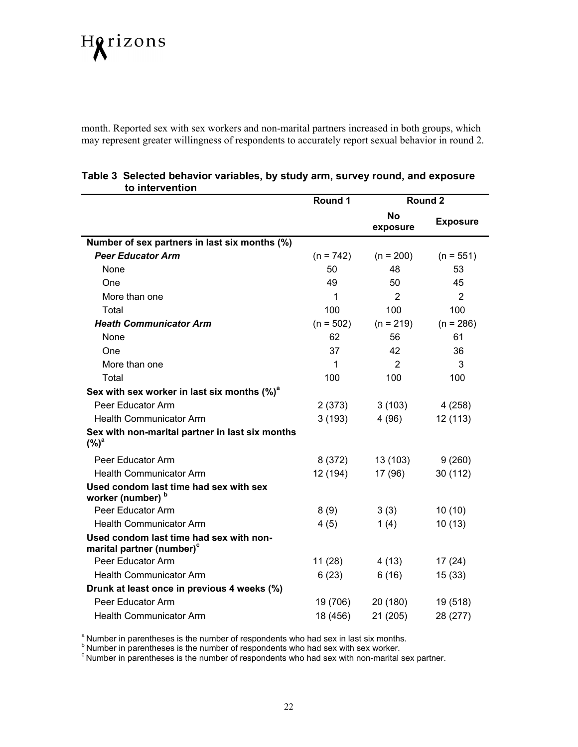# Horizons

month. Reported sex with sex workers and non-marital partners increased in both groups, which may represent greater willingness of respondents to accurately report sexual behavior in round 2.

| וט ווונסו וסוונוטוו                                                              | Round 1     |                       | Round 2         |
|----------------------------------------------------------------------------------|-------------|-----------------------|-----------------|
|                                                                                  |             | <b>No</b><br>exposure | <b>Exposure</b> |
| Number of sex partners in last six months (%)                                    |             |                       |                 |
| <b>Peer Educator Arm</b>                                                         | $(n = 742)$ | $(n = 200)$           | $(n = 551)$     |
| None                                                                             | 50          | 48                    | 53              |
| One                                                                              | 49          | 50                    | 45              |
| More than one                                                                    | 1           | 2                     | 2               |
| Total                                                                            | 100         | 100                   | 100             |
| <b>Heath Communicator Arm</b>                                                    | $(n = 502)$ | $(n = 219)$           | $(n = 286)$     |
| None                                                                             | 62          | 56                    | 61              |
| One                                                                              | 37          | 42                    | 36              |
| More than one                                                                    | 1           | 2                     | 3               |
| Total                                                                            | 100         | 100                   | 100             |
| Sex with sex worker in last six months $(\%)^a$                                  |             |                       |                 |
| Peer Educator Arm                                                                | 2(373)      | 3(103)                | 4(258)          |
| <b>Health Communicator Arm</b>                                                   | 3(193)      | 4(96)                 | 12 (113)        |
| Sex with non-marital partner in last six months<br>$(\%)^a$                      |             |                       |                 |
| Peer Educator Arm                                                                | 8 (372)     | 13 (103)              | 9(260)          |
| <b>Health Communicator Arm</b>                                                   | 12 (194)    | 17 (96)               | 30 (112)        |
| Used condom last time had sex with sex<br>worker (number) <sup>b</sup>           |             |                       |                 |
| Peer Educator Arm                                                                | 8(9)        | 3(3)                  | 10(10)          |
| <b>Health Communicator Arm</b>                                                   | 4(5)        | 1(4)                  | 10(13)          |
| Used condom last time had sex with non-<br>marital partner (number) <sup>c</sup> |             |                       |                 |
| Peer Educator Arm                                                                | 11(28)      | 4(13)                 | 17(24)          |
| <b>Health Communicator Arm</b>                                                   | 6(23)       | 6(16)                 | 15(33)          |
| Drunk at least once in previous 4 weeks (%)                                      |             |                       |                 |
| Peer Educator Arm                                                                | 19 (706)    | 20 (180)              | 19 (518)        |
| <b>Health Communicator Arm</b>                                                   | 18 (456)    | 21 (205)              | 28 (277)        |

#### **Table 3 Selected behavior variables, by study arm, survey round, and exposure to intervention**

<sup>a</sup> Number in parentheses is the number of respondents who had sex in last six months.<br>
<sup>b</sup> Number in parentheses is the number of respondents who had sex with sex worker.<br>
<sup>c</sup> Number in parentheses is the number of respo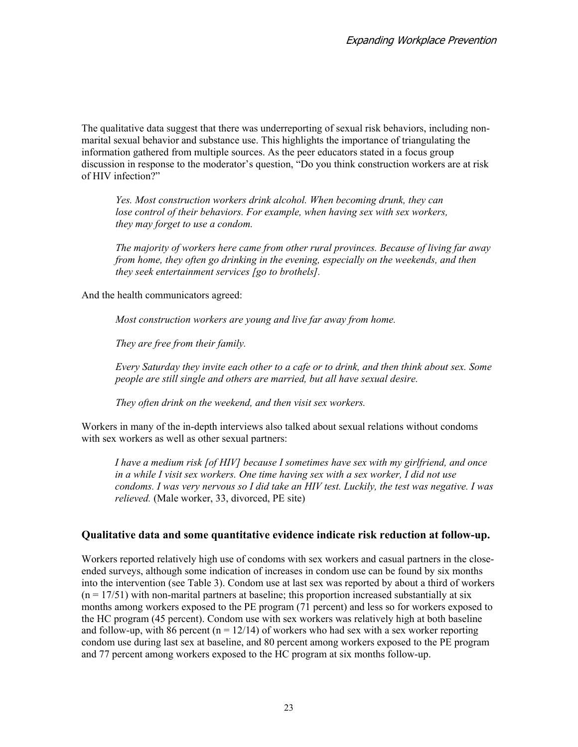The qualitative data suggest that there was underreporting of sexual risk behaviors, including nonmarital sexual behavior and substance use. This highlights the importance of triangulating the information gathered from multiple sources. As the peer educators stated in a focus group discussion in response to the moderator's question, "Do you think construction workers are at risk of HIV infection?"

*Yes. Most construction workers drink alcohol. When becoming drunk, they can lose control of their behaviors. For example, when having sex with sex workers, they may forget to use a condom.* 

*The majority of workers here came from other rural provinces. Because of living far away from home, they often go drinking in the evening, especially on the weekends, and then they seek entertainment services [go to brothels].* 

And the health communicators agreed:

*Most construction workers are young and live far away from home.* 

*They are free from their family.* 

*Every Saturday they invite each other to a cafe or to drink, and then think about sex. Some people are still single and others are married, but all have sexual desire.* 

*They often drink on the weekend, and then visit sex workers.* 

Workers in many of the in-depth interviews also talked about sexual relations without condoms with sex workers as well as other sexual partners:

*I have a medium risk [of HIV] because I sometimes have sex with my girlfriend, and once in a while I visit sex workers. One time having sex with a sex worker, I did not use condoms. I was very nervous so I did take an HIV test. Luckily, the test was negative. I was relieved.* (Male worker, 33, divorced, PE site)

#### **Qualitative data and some quantitative evidence indicate risk reduction at follow-up.**

Workers reported relatively high use of condoms with sex workers and casual partners in the closeended surveys, although some indication of increases in condom use can be found by six months into the intervention (see Table 3). Condom use at last sex was reported by about a third of workers  $(n = 17/51)$  with non-marital partners at baseline; this proportion increased substantially at six months among workers exposed to the PE program (71 percent) and less so for workers exposed to the HC program (45 percent). Condom use with sex workers was relatively high at both baseline and follow-up, with 86 percent ( $n = 12/14$ ) of workers who had sex with a sex worker reporting condom use during last sex at baseline, and 80 percent among workers exposed to the PE program and 77 percent among workers exposed to the HC program at six months follow-up.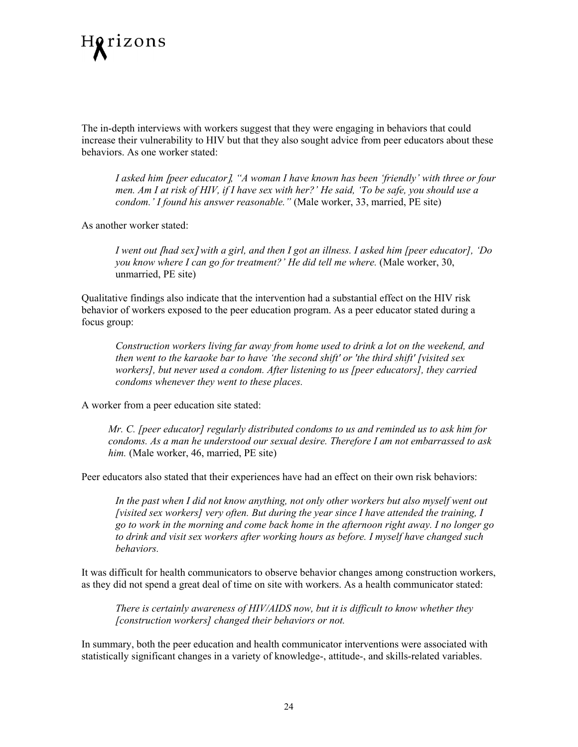

The in-depth interviews with workers suggest that they were engaging in behaviors that could increase their vulnerability to HIV but that they also sought advice from peer educators about these behaviors. As one worker stated:

*I asked him* [*peer educator*]*, "A woman I have known has been 'friendly' with three or four men. Am I at risk of HIV, if I have sex with her?' He said, 'To be safe, you should use a condom.' I found his answer reasonable."* (Male worker, 33, married, PE site)

As another worker stated:

*I went out* [*had sex*] *with a girl, and then I got an illness. I asked him [peer educator], 'Do you know where I can go for treatment?' He did tell me where.* (Male worker, 30, unmarried, PE site)

Qualitative findings also indicate that the intervention had a substantial effect on the HIV risk behavior of workers exposed to the peer education program. As a peer educator stated during a focus group:

*Construction workers living far away from home used to drink a lot on the weekend, and then went to the karaoke bar to have 'the second shift' or 'the third shift' [visited sex workers], but never used a condom. After listening to us [peer educators], they carried condoms whenever they went to these places.*

A worker from a peer education site stated:

*Mr. C. [peer educator] regularly distributed condoms to us and reminded us to ask him for condoms. As a man he understood our sexual desire. Therefore I am not embarrassed to ask him.* (Male worker, 46, married, PE site)

Peer educators also stated that their experiences have had an effect on their own risk behaviors:

*In the past when I did not know anything, not only other workers but also myself went out [visited sex workers] very often. But during the year since I have attended the training, I go to work in the morning and come back home in the afternoon right away. I no longer go to drink and visit sex workers after working hours as before. I myself have changed such behaviors.* 

It was difficult for health communicators to observe behavior changes among construction workers, as they did not spend a great deal of time on site with workers. As a health communicator stated:

*There is certainly awareness of HIV/AIDS now, but it is difficult to know whether they [construction workers] changed their behaviors or not.* 

In summary, both the peer education and health communicator interventions were associated with statistically significant changes in a variety of knowledge-, attitude-, and skills-related variables.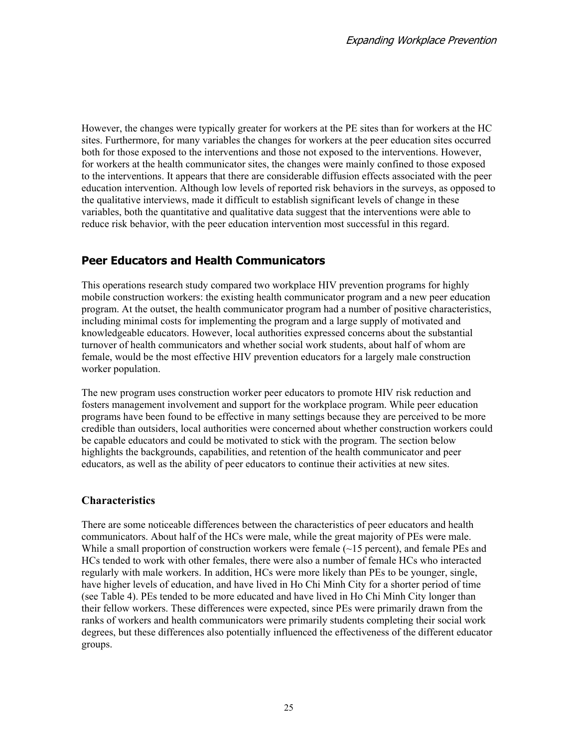However, the changes were typically greater for workers at the PE sites than for workers at the HC sites. Furthermore, for many variables the changes for workers at the peer education sites occurred both for those exposed to the interventions and those not exposed to the interventions. However, for workers at the health communicator sites, the changes were mainly confined to those exposed to the interventions. It appears that there are considerable diffusion effects associated with the peer education intervention. Although low levels of reported risk behaviors in the surveys, as opposed to the qualitative interviews, made it difficult to establish significant levels of change in these variables, both the quantitative and qualitative data suggest that the interventions were able to reduce risk behavior, with the peer education intervention most successful in this regard.

## **Peer Educators and Health Communicators**

This operations research study compared two workplace HIV prevention programs for highly mobile construction workers: the existing health communicator program and a new peer education program. At the outset, the health communicator program had a number of positive characteristics, including minimal costs for implementing the program and a large supply of motivated and knowledgeable educators. However, local authorities expressed concerns about the substantial turnover of health communicators and whether social work students, about half of whom are female, would be the most effective HIV prevention educators for a largely male construction worker population.

The new program uses construction worker peer educators to promote HIV risk reduction and fosters management involvement and support for the workplace program. While peer education programs have been found to be effective in many settings because they are perceived to be more credible than outsiders, local authorities were concerned about whether construction workers could be capable educators and could be motivated to stick with the program. The section below highlights the backgrounds, capabilities, and retention of the health communicator and peer educators, as well as the ability of peer educators to continue their activities at new sites.

#### **Characteristics**

There are some noticeable differences between the characteristics of peer educators and health communicators. About half of the HCs were male, while the great majority of PEs were male. While a small proportion of construction workers were female ( $\sim$ 15 percent), and female PEs and HCs tended to work with other females, there were also a number of female HCs who interacted regularly with male workers. In addition, HCs were more likely than PEs to be younger, single, have higher levels of education, and have lived in Ho Chi Minh City for a shorter period of time (see Table 4). PEs tended to be more educated and have lived in Ho Chi Minh City longer than their fellow workers. These differences were expected, since PEs were primarily drawn from the ranks of workers and health communicators were primarily students completing their social work degrees, but these differences also potentially influenced the effectiveness of the different educator groups.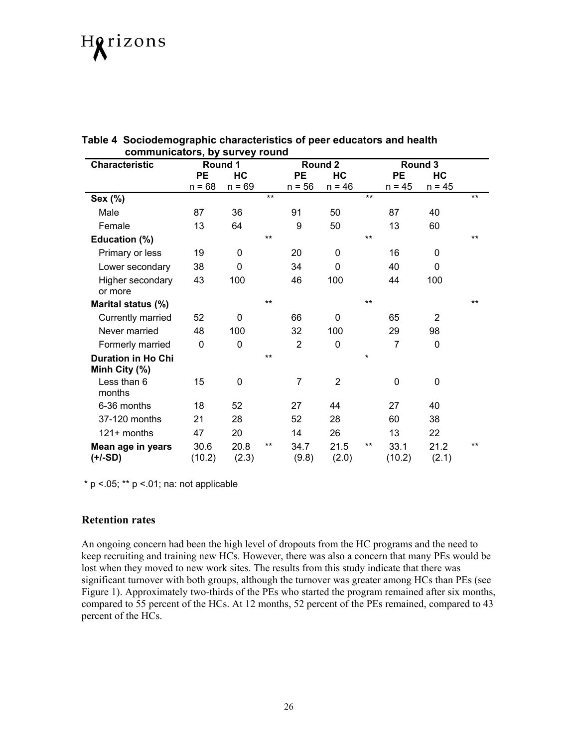# Horizons

| communicators, by survey round             |                |               |       |                |                |         |                |                |       |
|--------------------------------------------|----------------|---------------|-------|----------------|----------------|---------|----------------|----------------|-------|
| <b>Characteristic</b>                      |                | Round 1       |       | Round 2        |                |         |                | Round 3        |       |
|                                            | <b>PE</b>      | HC            |       | <b>PE</b>      | HC             |         | <b>PE</b>      | HC             |       |
|                                            | $n = 68$       | $n = 69$      |       | $n = 56$       | $n = 46$       |         | $n = 45$       | $n = 45$       |       |
| Sex (%)                                    |                |               | $***$ |                |                | $***$   |                |                | $***$ |
| Male                                       | 87             | 36            |       | 91             | 50             |         | 87             | 40             |       |
| Female                                     | 13             | 64            |       | 9              | 50             |         | 13             | 60             |       |
| Education (%)                              |                |               | $***$ |                |                | **      |                |                | $***$ |
| Primary or less                            | 19             | 0             |       | 20             | 0              |         | 16             | 0              |       |
| Lower secondary                            | 38             | 0             |       | 34             | 0              |         | 40             | $\Omega$       |       |
| Higher secondary<br>or more                | 43             | 100           |       | 46             | 100            |         | 44             | 100            |       |
| Marital status (%)                         |                |               | **    |                |                | $***$   |                |                | **    |
| Currently married                          | 52             | 0             |       | 66             | 0              |         | 65             | $\overline{2}$ |       |
| Never married                              | 48             | 100           |       | 32             | 100            |         | 29             | 98             |       |
| Formerly married                           | 0              | $\mathbf 0$   |       | $\overline{2}$ | 0              |         | $\overline{7}$ | $\Omega$       |       |
| <b>Duration in Ho Chi</b><br>Minh City (%) |                |               | **    |                |                | $\star$ |                |                |       |
| Less than 6<br>months                      | 15             | 0             |       | 7              | $\overline{2}$ |         | $\mathbf 0$    | 0              |       |
| 6-36 months                                | 18             | 52            |       | 27             | 44             |         | 27             | 40             |       |
| 37-120 months                              | 21             | 28            |       | 52             | 28             |         | 60             | 38             |       |
| 121+ months                                | 47             | 20            |       | 14             | 26             |         | 13             | 22             |       |
| Mean age in years<br>(+/-SD)               | 30.6<br>(10.2) | 20.8<br>(2.3) | $***$ | 34.7<br>(9.8)  | 21.5<br>(2.0)  | $***$   | 33.1<br>(10.2) | 21.2<br>(2.1)  | $***$ |

#### **Table 4 Sociodemographic characteristics of peer educators and health communicators, by survey round**

 $*$  p <.05;  $**$  p <.01; na: not applicable

#### **Retention rates**

An ongoing concern had been the high level of dropouts from the HC programs and the need to keep recruiting and training new HCs. However, there was also a concern that many PEs would be lost when they moved to new work sites. The results from this study indicate that there was significant turnover with both groups, although the turnover was greater among HCs than PEs (see Figure 1). Approximately two-thirds of the PEs who started the program remained after six months, compared to 55 percent of the HCs. At 12 months, 52 percent of the PEs remained, compared to 43 percent of the HCs.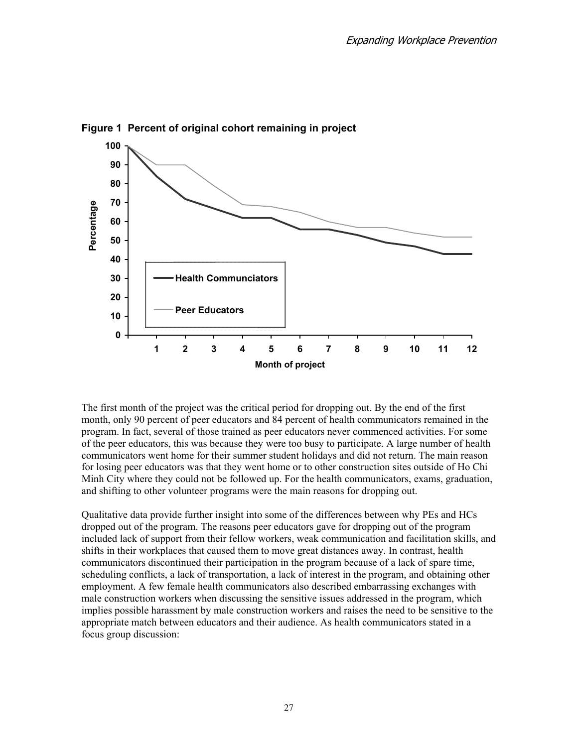

**Figure 1 Percent of original cohort remaining in project** 

The first month of the project was the critical period for dropping out. By the end of the first month, only 90 percent of peer educators and 84 percent of health communicators remained in the program. In fact, several of those trained as peer educators never commenced activities. For some of the peer educators, this was because they were too busy to participate. A large number of health communicators went home for their summer student holidays and did not return. The main reason for losing peer educators was that they went home or to other construction sites outside of Ho Chi Minh City where they could not be followed up. For the health communicators, exams, graduation, and shifting to other volunteer programs were the main reasons for dropping out.

Qualitative data provide further insight into some of the differences between why PEs and HCs dropped out of the program. The reasons peer educators gave for dropping out of the program included lack of support from their fellow workers, weak communication and facilitation skills, and shifts in their workplaces that caused them to move great distances away. In contrast, health communicators discontinued their participation in the program because of a lack of spare time, scheduling conflicts, a lack of transportation, a lack of interest in the program, and obtaining other employment. A few female health communicators also described embarrassing exchanges with male construction workers when discussing the sensitive issues addressed in the program, which implies possible harassment by male construction workers and raises the need to be sensitive to the appropriate match between educators and their audience. As health communicators stated in a focus group discussion: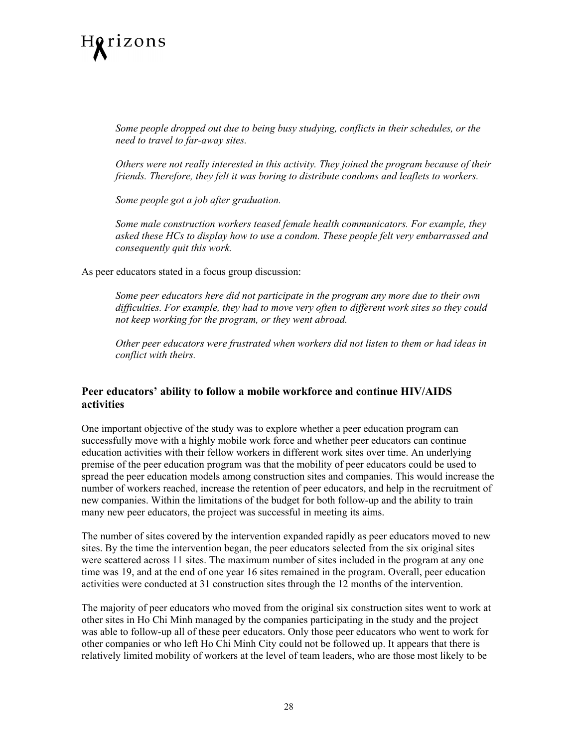

*Some people dropped out due to being busy studying, conflicts in their schedules, or the need to travel to far-away sites.* 

*Others were not really interested in this activity. They joined the program because of their friends. Therefore, they felt it was boring to distribute condoms and leaflets to workers.* 

*Some people got a job after graduation.* 

*Some male construction workers teased female health communicators. For example, they asked these HCs to display how to use a condom. These people felt very embarrassed and consequently quit this work.* 

As peer educators stated in a focus group discussion:

*Some peer educators here did not participate in the program any more due to their own difficulties. For example, they had to move very often to different work sites so they could not keep working for the program, or they went abroad.* 

*Other peer educators were frustrated when workers did not listen to them or had ideas in conflict with theirs.* 

#### **Peer educators' ability to follow a mobile workforce and continue HIV/AIDS activities**

One important objective of the study was to explore whether a peer education program can successfully move with a highly mobile work force and whether peer educators can continue education activities with their fellow workers in different work sites over time. An underlying premise of the peer education program was that the mobility of peer educators could be used to spread the peer education models among construction sites and companies. This would increase the number of workers reached, increase the retention of peer educators, and help in the recruitment of new companies. Within the limitations of the budget for both follow-up and the ability to train many new peer educators, the project was successful in meeting its aims.

The number of sites covered by the intervention expanded rapidly as peer educators moved to new sites. By the time the intervention began, the peer educators selected from the six original sites were scattered across 11 sites. The maximum number of sites included in the program at any one time was 19, and at the end of one year 16 sites remained in the program. Overall, peer education activities were conducted at 31 construction sites through the 12 months of the intervention.

The majority of peer educators who moved from the original six construction sites went to work at other sites in Ho Chi Minh managed by the companies participating in the study and the project was able to follow-up all of these peer educators. Only those peer educators who went to work for other companies or who left Ho Chi Minh City could not be followed up. It appears that there is relatively limited mobility of workers at the level of team leaders, who are those most likely to be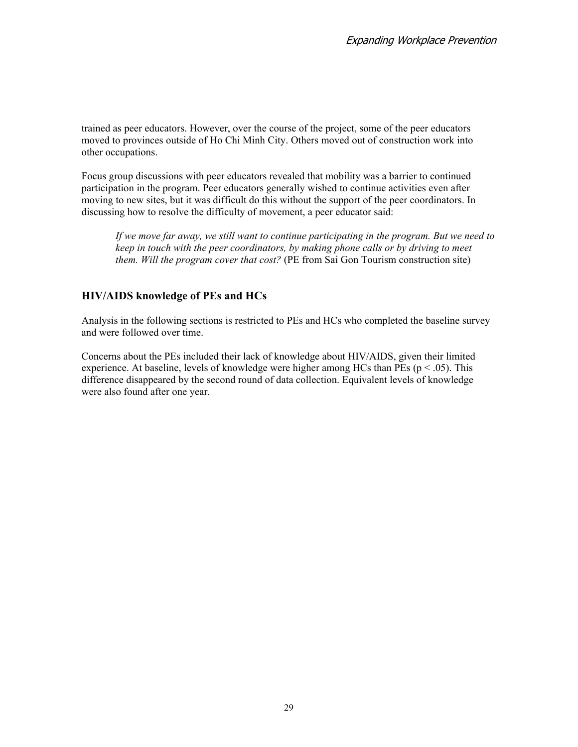trained as peer educators. However, over the course of the project, some of the peer educators moved to provinces outside of Ho Chi Minh City. Others moved out of construction work into other occupations.

Focus group discussions with peer educators revealed that mobility was a barrier to continued participation in the program. Peer educators generally wished to continue activities even after moving to new sites, but it was difficult do this without the support of the peer coordinators. In discussing how to resolve the difficulty of movement, a peer educator said:

*If we move far away, we still want to continue participating in the program. But we need to keep in touch with the peer coordinators, by making phone calls or by driving to meet them. Will the program cover that cost?* (PE from Sai Gon Tourism construction site)

#### **HIV/AIDS knowledge of PEs and HCs**

Analysis in the following sections is restricted to PEs and HCs who completed the baseline survey and were followed over time.

Concerns about the PEs included their lack of knowledge about HIV/AIDS, given their limited experience. At baseline, levels of knowledge were higher among HCs than PEs ( $p < .05$ ). This difference disappeared by the second round of data collection. Equivalent levels of knowledge were also found after one year.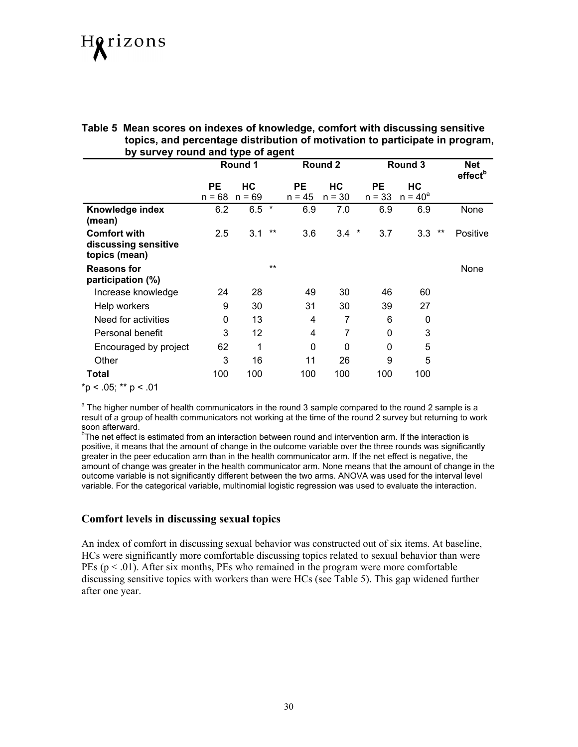#### **Table 5 Mean scores on indexes of knowledge, comfort with discussing sensitive topics, and percentage distribution of motivation to participate in program, by survey round and type of agent**

|                                       | Round 1     |          |       |          | Round 2     |               | Round 3    |       | <b>Net</b><br>effect <sup>b</sup> |
|---------------------------------------|-------------|----------|-------|----------|-------------|---------------|------------|-------|-----------------------------------|
|                                       | <b>PE</b>   | HС       |       | PЕ       | HС          | <b>PE</b>     | НC         |       |                                   |
|                                       | 68<br>$n =$ | $n = 69$ |       | $n = 45$ | $n = 30$    | $n = 33$      | $n = 40^a$ |       |                                   |
| Knowledge index<br>(mean)             | 6.2         | $6.5*$   |       | 6.9      | 7.0         | 6.9           | 6.9        |       | None                              |
| <b>Comfort with</b>                   | 2.5         | 3.1      | $***$ | 3.6      | 3.4         | $\ast$<br>3.7 | 3.3        | $***$ | Positive                          |
| discussing sensitive<br>topics (mean) |             |          |       |          |             |               |            |       |                                   |
| <b>Reasons for</b>                    |             |          | $***$ |          |             |               |            |       | None                              |
| participation (%)                     |             |          |       |          |             |               |            |       |                                   |
| Increase knowledge                    | 24          | 28       |       | 49       | 30          | 46            | 60         |       |                                   |
| Help workers                          | 9           | 30       |       | 31       | 30          | 39            | 27         |       |                                   |
| Need for activities                   | 0           | 13       |       | 4        | 7           | 6             | 0          |       |                                   |
| Personal benefit                      | 3           | 12       |       | 4        | 7           | 0             | 3          |       |                                   |
| Encouraged by project                 | 62          | 1        |       | 0        | $\mathbf 0$ | 0             | 5          |       |                                   |
| Other                                 | 3           | 16       |       | 11       | 26          | 9             | 5          |       |                                   |
| <b>Total</b>                          | 100         | 100      |       | 100      | 100         | 100           | 100        |       |                                   |
| *p < .05; ** p < .01                  |             |          |       |          |             |               |            |       |                                   |

<sup>a</sup> The higher number of health communicators in the round 3 sample compared to the round 2 sample is a result of a group of health communicators not working at the time of the round 2 survey but returning to work soon afterward.

<sup>b</sup>The net effect is estimated from an interaction between round and intervention arm. If the interaction is positive, it means that the amount of change in the outcome variable over the three rounds was significantly greater in the peer education arm than in the health communicator arm. If the net effect is negative, the amount of change was greater in the health communicator arm. None means that the amount of change in the outcome variable is not significantly different between the two arms. ANOVA was used for the interval level variable. For the categorical variable, multinomial logistic regression was used to evaluate the interaction.

#### **Comfort levels in discussing sexual topics**

An index of comfort in discussing sexual behavior was constructed out of six items. At baseline, HCs were significantly more comfortable discussing topics related to sexual behavior than were PEs ( $p < .01$ ). After six months, PEs who remained in the program were more comfortable discussing sensitive topics with workers than were HCs (see Table 5). This gap widened further after one year.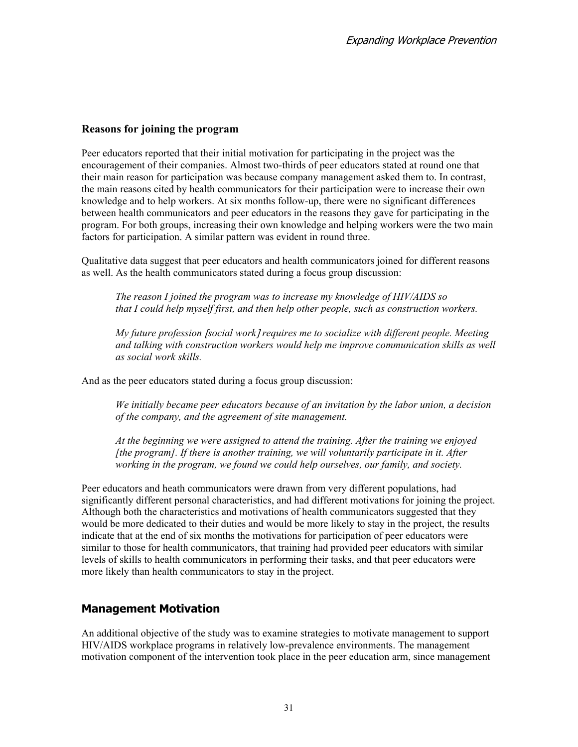#### **Reasons for joining the program**

Peer educators reported that their initial motivation for participating in the project was the encouragement of their companies. Almost two-thirds of peer educators stated at round one that their main reason for participation was because company management asked them to. In contrast, the main reasons cited by health communicators for their participation were to increase their own knowledge and to help workers. At six months follow-up, there were no significant differences between health communicators and peer educators in the reasons they gave for participating in the program. For both groups, increasing their own knowledge and helping workers were the two main factors for participation. A similar pattern was evident in round three.

Qualitative data suggest that peer educators and health communicators joined for different reasons as well. As the health communicators stated during a focus group discussion:

*The reason I joined the program was to increase my knowledge of HIV/AIDS so that I could help myself first, and then help other people, such as construction workers.*

*My future profession* [*social work*] *requires me to socialize with different people. Meeting and talking with construction workers would help me improve communication skills as well as social work skills.* 

And as the peer educators stated during a focus group discussion:

*We initially became peer educators because of an invitation by the labor union, a decision of the company, and the agreement of site management.* 

*At the beginning we were assigned to attend the training. After the training we enjoyed [the program]. If there is another training, we will voluntarily participate in it. After working in the program, we found we could help ourselves, our family, and society.* 

Peer educators and heath communicators were drawn from very different populations, had significantly different personal characteristics, and had different motivations for joining the project. Although both the characteristics and motivations of health communicators suggested that they would be more dedicated to their duties and would be more likely to stay in the project, the results indicate that at the end of six months the motivations for participation of peer educators were similar to those for health communicators, that training had provided peer educators with similar levels of skills to health communicators in performing their tasks, and that peer educators were more likely than health communicators to stay in the project.

#### **Management Motivation**

An additional objective of the study was to examine strategies to motivate management to support HIV/AIDS workplace programs in relatively low-prevalence environments. The management motivation component of the intervention took place in the peer education arm, since management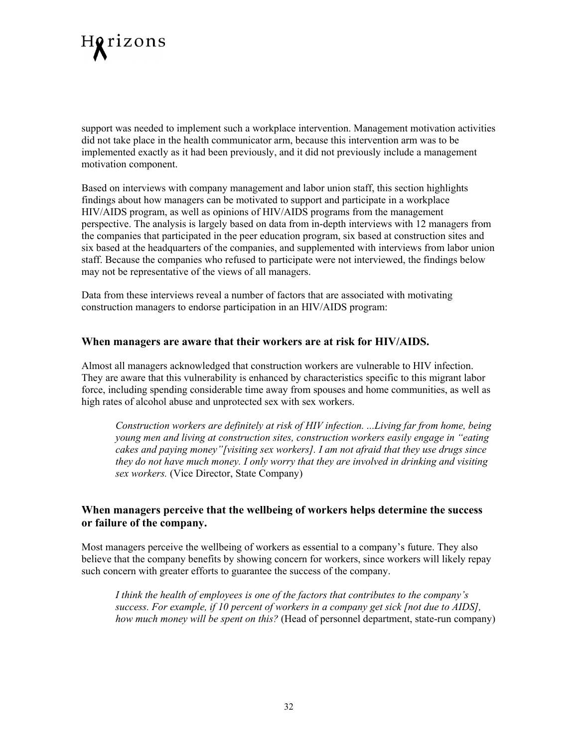

support was needed to implement such a workplace intervention. Management motivation activities did not take place in the health communicator arm, because this intervention arm was to be implemented exactly as it had been previously, and it did not previously include a management motivation component.

Based on interviews with company management and labor union staff, this section highlights findings about how managers can be motivated to support and participate in a workplace HIV/AIDS program, as well as opinions of HIV/AIDS programs from the management perspective. The analysis is largely based on data from in-depth interviews with 12 managers from the companies that participated in the peer education program, six based at construction sites and six based at the headquarters of the companies, and supplemented with interviews from labor union staff. Because the companies who refused to participate were not interviewed, the findings below may not be representative of the views of all managers.

Data from these interviews reveal a number of factors that are associated with motivating construction managers to endorse participation in an HIV/AIDS program:

#### **When managers are aware that their workers are at risk for HIV/AIDS.**

Almost all managers acknowledged that construction workers are vulnerable to HIV infection. They are aware that this vulnerability is enhanced by characteristics specific to this migrant labor force, including spending considerable time away from spouses and home communities, as well as high rates of alcohol abuse and unprotected sex with sex workers.

*Construction workers are definitely at risk of HIV infection. ...Living far from home, being young men and living at construction sites, construction workers easily engage in "eating cakes and paying money"[visiting sex workers]. I am not afraid that they use drugs since they do not have much money. I only worry that they are involved in drinking and visiting sex workers.* (Vice Director, State Company)

#### **When managers perceive that the wellbeing of workers helps determine the success or failure of the company.**

Most managers perceive the wellbeing of workers as essential to a company's future. They also believe that the company benefits by showing concern for workers, since workers will likely repay such concern with greater efforts to guarantee the success of the company.

*I think the health of employees is one of the factors that contributes to the company's success. For example, if 10 percent of workers in a company get sick [not due to AIDS], how much money will be spent on this?* (Head of personnel department, state-run company)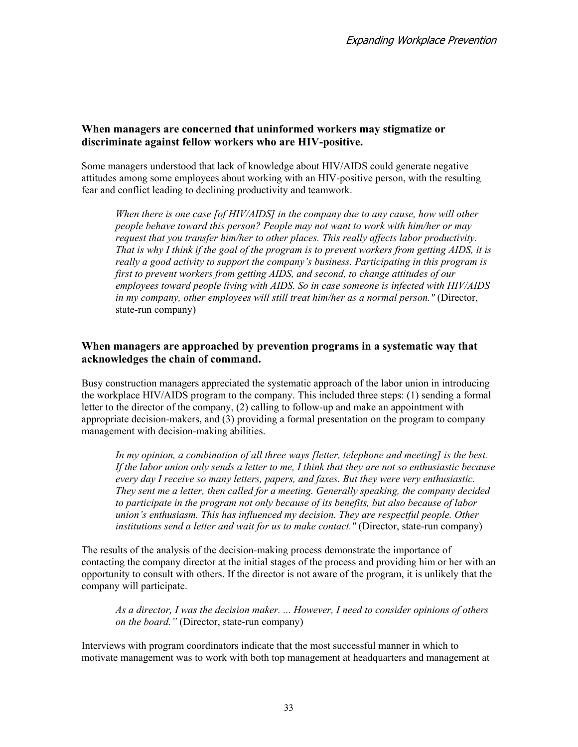#### **When managers are concerned that uninformed workers may stigmatize or discriminate against fellow workers who are HIV-positive.**

Some managers understood that lack of knowledge about HIV/AIDS could generate negative attitudes among some employees about working with an HIV-positive person, with the resulting fear and conflict leading to declining productivity and teamwork.

*When there is one case [of HIV/AIDS] in the company due to any cause, how will other people behave toward this person? People may not want to work with him/her or may request that you transfer him/her to other places. This really affects labor productivity. That is why I think if the goal of the program is to prevent workers from getting AIDS, it is really a good activity to support the company's business. Participating in this program is first to prevent workers from getting AIDS, and second, to change attitudes of our employees toward people living with AIDS. So in case someone is infected with HIV/AIDS in my company, other employees will still treat him/her as a normal person."* (Director, state-run company)

#### **When managers are approached by prevention programs in a systematic way that acknowledges the chain of command.**

Busy construction managers appreciated the systematic approach of the labor union in introducing the workplace HIV/AIDS program to the company. This included three steps: (1) sending a formal letter to the director of the company, (2) calling to follow-up and make an appointment with appropriate decision-makers, and (3) providing a formal presentation on the program to company management with decision-making abilities.

In my opinion, a combination of all three ways *[letter, telephone and meeting] is the best. If the labor union only sends a letter to me, I think that they are not so enthusiastic because every day I receive so many letters, papers, and faxes. But they were very enthusiastic. They sent me a letter, then called for a meeting. Generally speaking, the company decided to participate in the program not only because of its benefits, but also because of labor union's enthusiasm. This has influenced my decision. They are respectful people. Other institutions send a letter and wait for us to make contact."* (Director, state-run company)

The results of the analysis of the decision-making process demonstrate the importance of contacting the company director at the initial stages of the process and providing him or her with an opportunity to consult with others. If the director is not aware of the program, it is unlikely that the company will participate.

*As a director, I was the decision maker. ... However, I need to consider opinions of others on the board."* (Director, state-run company)

Interviews with program coordinators indicate that the most successful manner in which to motivate management was to work with both top management at headquarters and management at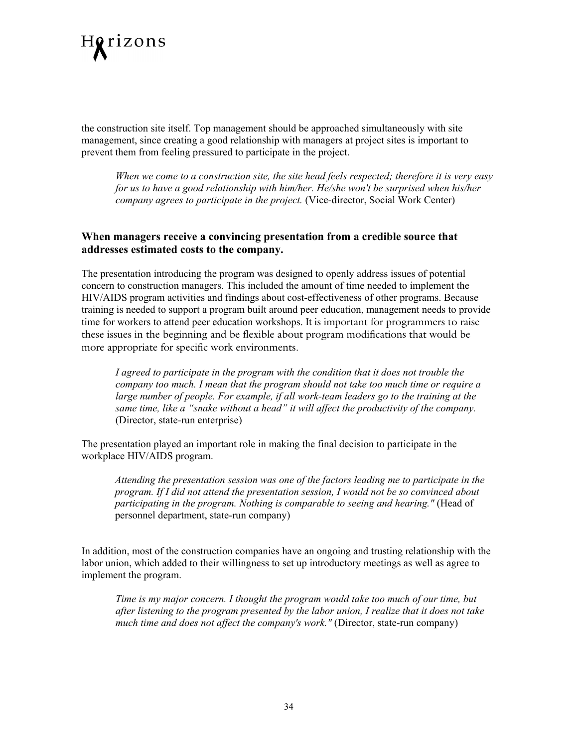

the construction site itself. Top management should be approached simultaneously with site management, since creating a good relationship with managers at project sites is important to prevent them from feeling pressured to participate in the project.

*When we come to a construction site, the site head feels respected; therefore it is very easy for us to have a good relationship with him/her. He/she won't be surprised when his/her company agrees to participate in the project.* (Vice-director, Social Work Center)

#### **When managers receive a convincing presentation from a credible source that addresses estimated costs to the company.**

The presentation introducing the program was designed to openly address issues of potential concern to construction managers. This included the amount of time needed to implement the HIV/AIDS program activities and findings about cost-effectiveness of other programs. Because training is needed to support a program built around peer education, management needs to provide time for workers to attend peer education workshops. It is important for programmers to raise these issues in the beginning and be flexible about program modifications that would be more appropriate for specific work environments.

*I agreed to participate in the program with the condition that it does not trouble the company too much. I mean that the program should not take too much time or require a large number of people. For example, if all work-team leaders go to the training at the same time, like a "snake without a head" it will affect the productivity of the company.* (Director, state-run enterprise)

The presentation played an important role in making the final decision to participate in the workplace HIV/AIDS program.

*Attending the presentation session was one of the factors leading me to participate in the program. If I did not attend the presentation session, I would not be so convinced about participating in the program. Nothing is comparable to seeing and hearing."* (Head of personnel department, state-run company)

In addition, most of the construction companies have an ongoing and trusting relationship with the labor union, which added to their willingness to set up introductory meetings as well as agree to implement the program.

*Time is my major concern. I thought the program would take too much of our time, but after listening to the program presented by the labor union, I realize that it does not take much time and does not affect the company's work."* (Director, state-run company)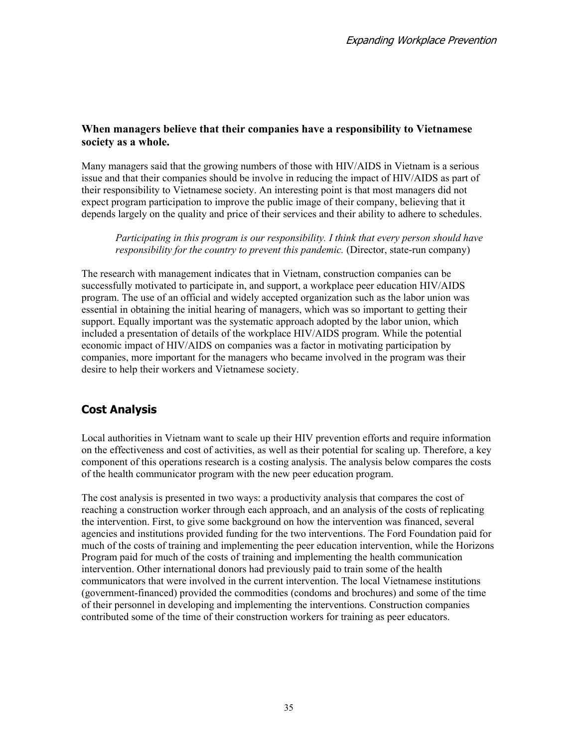#### **When managers believe that their companies have a responsibility to Vietnamese society as a whole.**

Many managers said that the growing numbers of those with HIV/AIDS in Vietnam is a serious issue and that their companies should be involve in reducing the impact of HIV/AIDS as part of their responsibility to Vietnamese society. An interesting point is that most managers did not expect program participation to improve the public image of their company, believing that it depends largely on the quality and price of their services and their ability to adhere to schedules.

*Participating in this program is our responsibility. I think that every person should have responsibility for the country to prevent this pandemic.* (Director, state-run company)

The research with management indicates that in Vietnam, construction companies can be successfully motivated to participate in, and support, a workplace peer education HIV/AIDS program. The use of an official and widely accepted organization such as the labor union was essential in obtaining the initial hearing of managers, which was so important to getting their support. Equally important was the systematic approach adopted by the labor union, which included a presentation of details of the workplace HIV/AIDS program. While the potential economic impact of HIV/AIDS on companies was a factor in motivating participation by companies, more important for the managers who became involved in the program was their desire to help their workers and Vietnamese society.

### **Cost Analysis**

Local authorities in Vietnam want to scale up their HIV prevention efforts and require information on the effectiveness and cost of activities, as well as their potential for scaling up. Therefore, a key component of this operations research is a costing analysis. The analysis below compares the costs of the health communicator program with the new peer education program.

The cost analysis is presented in two ways: a productivity analysis that compares the cost of reaching a construction worker through each approach, and an analysis of the costs of replicating the intervention. First, to give some background on how the intervention was financed, several agencies and institutions provided funding for the two interventions. The Ford Foundation paid for much of the costs of training and implementing the peer education intervention, while the Horizons Program paid for much of the costs of training and implementing the health communication intervention. Other international donors had previously paid to train some of the health communicators that were involved in the current intervention. The local Vietnamese institutions (government-financed) provided the commodities (condoms and brochures) and some of the time of their personnel in developing and implementing the interventions. Construction companies contributed some of the time of their construction workers for training as peer educators.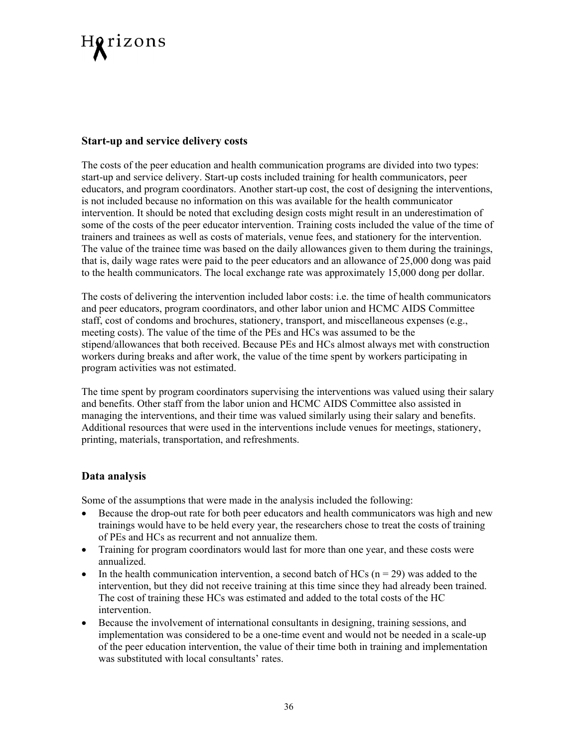

#### **Start-up and service delivery costs**

The costs of the peer education and health communication programs are divided into two types: start-up and service delivery. Start-up costs included training for health communicators, peer educators, and program coordinators. Another start-up cost, the cost of designing the interventions, is not included because no information on this was available for the health communicator intervention. It should be noted that excluding design costs might result in an underestimation of some of the costs of the peer educator intervention. Training costs included the value of the time of trainers and trainees as well as costs of materials, venue fees, and stationery for the intervention. The value of the trainee time was based on the daily allowances given to them during the trainings, that is, daily wage rates were paid to the peer educators and an allowance of 25,000 dong was paid to the health communicators. The local exchange rate was approximately 15,000 dong per dollar.

The costs of delivering the intervention included labor costs: i.e. the time of health communicators and peer educators, program coordinators, and other labor union and HCMC AIDS Committee staff, cost of condoms and brochures, stationery, transport, and miscellaneous expenses (e.g., meeting costs). The value of the time of the PEs and HCs was assumed to be the stipend/allowances that both received. Because PEs and HCs almost always met with construction workers during breaks and after work, the value of the time spent by workers participating in program activities was not estimated.

The time spent by program coordinators supervising the interventions was valued using their salary and benefits. Other staff from the labor union and HCMC AIDS Committee also assisted in managing the interventions, and their time was valued similarly using their salary and benefits. Additional resources that were used in the interventions include venues for meetings, stationery, printing, materials, transportation, and refreshments.

#### **Data analysis**

Some of the assumptions that were made in the analysis included the following:

- Because the drop-out rate for both peer educators and health communicators was high and new trainings would have to be held every year, the researchers chose to treat the costs of training of PEs and HCs as recurrent and not annualize them.
- Training for program coordinators would last for more than one year, and these costs were annualized.
- In the health communication intervention, a second batch of HCs ( $n = 29$ ) was added to the intervention, but they did not receive training at this time since they had already been trained. The cost of training these HCs was estimated and added to the total costs of the HC intervention.
- Because the involvement of international consultants in designing, training sessions, and implementation was considered to be a one-time event and would not be needed in a scale-up of the peer education intervention, the value of their time both in training and implementation was substituted with local consultants' rates.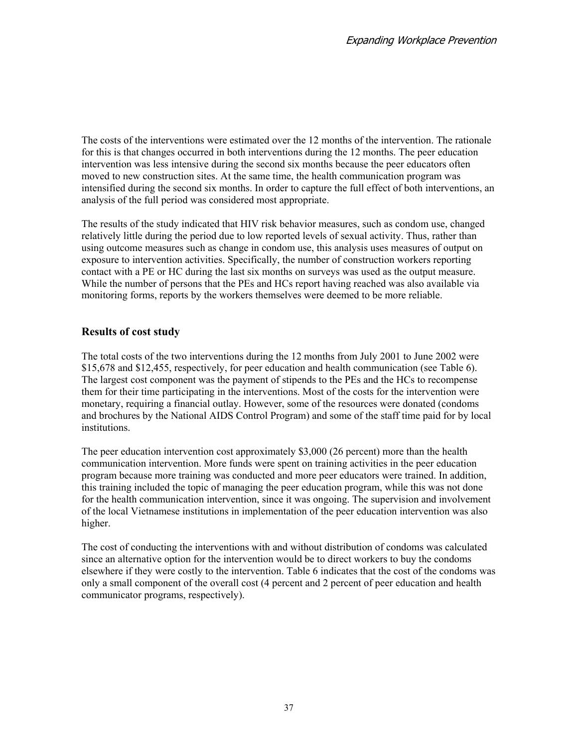The costs of the interventions were estimated over the 12 months of the intervention. The rationale for this is that changes occurred in both interventions during the 12 months. The peer education intervention was less intensive during the second six months because the peer educators often moved to new construction sites. At the same time, the health communication program was intensified during the second six months. In order to capture the full effect of both interventions, an analysis of the full period was considered most appropriate.

The results of the study indicated that HIV risk behavior measures, such as condom use, changed relatively little during the period due to low reported levels of sexual activity. Thus, rather than using outcome measures such as change in condom use, this analysis uses measures of output on exposure to intervention activities. Specifically, the number of construction workers reporting contact with a PE or HC during the last six months on surveys was used as the output measure. While the number of persons that the PEs and HCs report having reached was also available via monitoring forms, reports by the workers themselves were deemed to be more reliable.

#### **Results of cost study**

The total costs of the two interventions during the 12 months from July 2001 to June 2002 were \$15,678 and \$12,455, respectively, for peer education and health communication (see Table 6). The largest cost component was the payment of stipends to the PEs and the HCs to recompense them for their time participating in the interventions. Most of the costs for the intervention were monetary, requiring a financial outlay. However, some of the resources were donated (condoms and brochures by the National AIDS Control Program) and some of the staff time paid for by local institutions.

The peer education intervention cost approximately \$3,000 (26 percent) more than the health communication intervention. More funds were spent on training activities in the peer education program because more training was conducted and more peer educators were trained. In addition, this training included the topic of managing the peer education program, while this was not done for the health communication intervention, since it was ongoing. The supervision and involvement of the local Vietnamese institutions in implementation of the peer education intervention was also higher.

The cost of conducting the interventions with and without distribution of condoms was calculated since an alternative option for the intervention would be to direct workers to buy the condoms elsewhere if they were costly to the intervention. Table 6 indicates that the cost of the condoms was only a small component of the overall cost (4 percent and 2 percent of peer education and health communicator programs, respectively).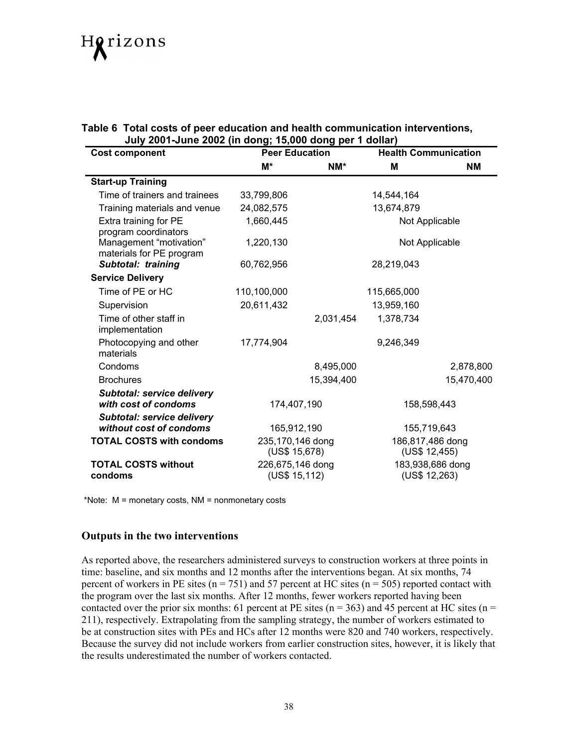# Horizons

| Table 6 Total costs of peer education and health communication interventions, |
|-------------------------------------------------------------------------------|
| July 2001-June 2002 (in dong; 15,000 dong per 1 dollar)                       |

| <b>Cost component</b>                                        | <b>Peer Education</b>             |            | <b>Health Communication</b>       |            |  |
|--------------------------------------------------------------|-----------------------------------|------------|-----------------------------------|------------|--|
|                                                              | M*                                | $NM^*$     | M                                 | <b>NM</b>  |  |
| <b>Start-up Training</b>                                     |                                   |            |                                   |            |  |
| Time of trainers and trainees                                | 33,799,806                        |            | 14,544,164                        |            |  |
| Training materials and venue                                 | 24,082,575                        |            | 13,674,879                        |            |  |
| Extra training for PE<br>program coordinators                | 1,660,445                         |            | Not Applicable                    |            |  |
| Management "motivation"<br>materials for PE program          | 1,220,130                         |            | Not Applicable                    |            |  |
| Subtotal: training                                           | 60,762,956                        |            | 28,219,043                        |            |  |
| <b>Service Delivery</b>                                      |                                   |            |                                   |            |  |
| Time of PE or HC                                             | 110,100,000                       |            | 115,665,000                       |            |  |
| Supervision                                                  | 20,611,432                        |            | 13,959,160                        |            |  |
| Time of other staff in<br>implementation                     |                                   | 2,031,454  | 1,378,734                         |            |  |
| Photocopying and other<br>materials                          | 17,774,904                        |            | 9,246,349                         |            |  |
| Condoms                                                      |                                   | 8,495,000  |                                   | 2,878,800  |  |
| <b>Brochures</b>                                             |                                   | 15,394,400 |                                   | 15,470,400 |  |
| <b>Subtotal: service delivery</b><br>with cost of condoms    | 174,407,190                       |            | 158,598,443                       |            |  |
| <b>Subtotal: service delivery</b><br>without cost of condoms | 165,912,190                       |            | 155,719,643                       |            |  |
| <b>TOTAL COSTS with condoms</b>                              | 235,170,146 dong<br>(US\$ 15,678) |            | 186,817,486 dong<br>(US\$ 12,455) |            |  |
| <b>TOTAL COSTS without</b><br>condoms                        | 226,675,146 dong<br>(US\$ 15,112) |            | 183,938,686 dong<br>(US\$ 12,263) |            |  |

\*Note: M = monetary costs, NM = nonmonetary costs

#### **Outputs in the two interventions**

As reported above, the researchers administered surveys to construction workers at three points in time: baseline, and six months and 12 months after the interventions began. At six months, 74 percent of workers in PE sites ( $n = 751$ ) and 57 percent at HC sites ( $n = 505$ ) reported contact with the program over the last six months. After 12 months, fewer workers reported having been contacted over the prior six months: 61 percent at PE sites ( $n = 363$ ) and 45 percent at HC sites ( $n =$ 211), respectively. Extrapolating from the sampling strategy, the number of workers estimated to be at construction sites with PEs and HCs after 12 months were 820 and 740 workers, respectively. Because the survey did not include workers from earlier construction sites, however, it is likely that the results underestimated the number of workers contacted.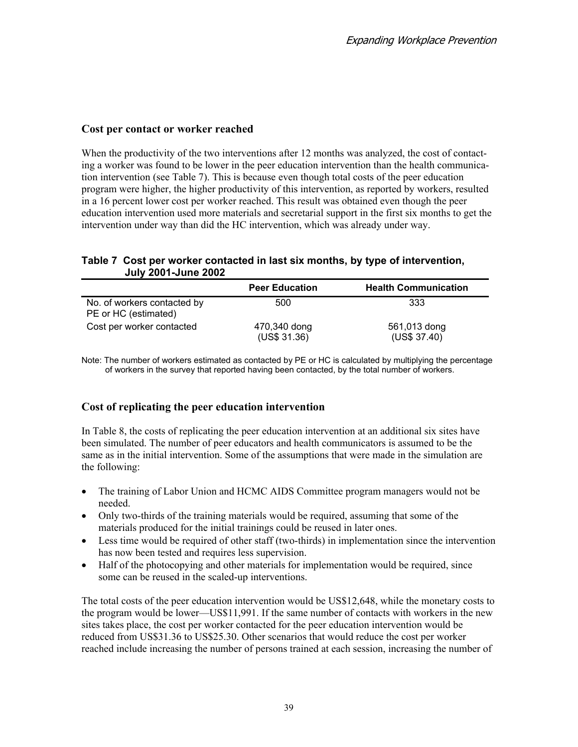#### **Cost per contact or worker reached**

When the productivity of the two interventions after 12 months was analyzed, the cost of contacting a worker was found to be lower in the peer education intervention than the health communication intervention (see Table 7). This is because even though total costs of the peer education program were higher, the higher productivity of this intervention, as reported by workers, resulted in a 16 percent lower cost per worker reached. This result was obtained even though the peer education intervention used more materials and secretarial support in the first six months to get the intervention under way than did the HC intervention, which was already under way.

#### **Table 7 Cost per worker contacted in last six months, by type of intervention, July 2001-June 2002**

|                                                     | <b>Peer Education</b>        | <b>Health Communication</b>  |
|-----------------------------------------------------|------------------------------|------------------------------|
| No. of workers contacted by<br>PE or HC (estimated) | 500                          | 333                          |
| Cost per worker contacted                           | 470,340 dong<br>(US\$ 31.36) | 561,013 dong<br>(US\$ 37.40) |

Note: The number of workers estimated as contacted by PE or HC is calculated by multiplying the percentage of workers in the survey that reported having been contacted, by the total number of workers.

#### **Cost of replicating the peer education intervention**

In Table 8, the costs of replicating the peer education intervention at an additional six sites have been simulated. The number of peer educators and health communicators is assumed to be the same as in the initial intervention. Some of the assumptions that were made in the simulation are the following:

- The training of Labor Union and HCMC AIDS Committee program managers would not be needed.
- Only two-thirds of the training materials would be required, assuming that some of the materials produced for the initial trainings could be reused in later ones.
- Less time would be required of other staff (two-thirds) in implementation since the intervention has now been tested and requires less supervision.
- Half of the photocopying and other materials for implementation would be required, since some can be reused in the scaled-up interventions.

The total costs of the peer education intervention would be US\$12,648, while the monetary costs to the program would be lower—US\$11,991. If the same number of contacts with workers in the new sites takes place, the cost per worker contacted for the peer education intervention would be reduced from US\$31.36 to US\$25.30. Other scenarios that would reduce the cost per worker reached include increasing the number of persons trained at each session, increasing the number of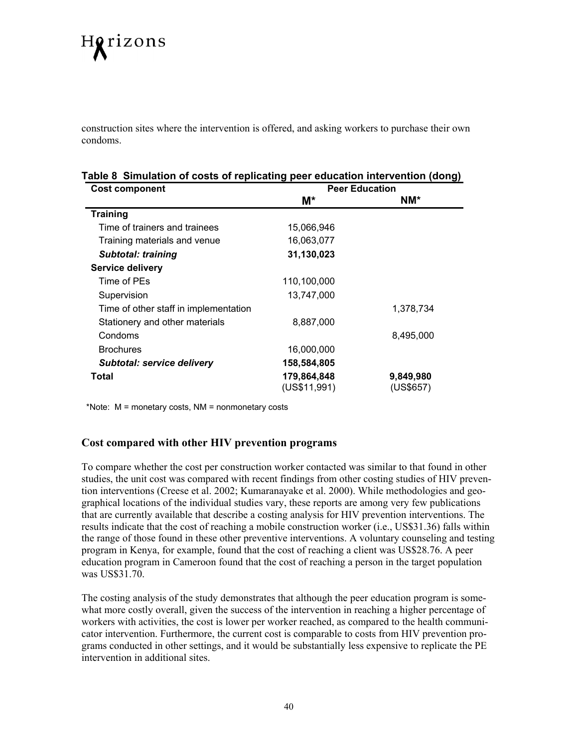# Horizons

construction sites where the intervention is offered, and asking workers to purchase their own condoms.

#### **Table 8 Simulation of costs of replicating peer education intervention (dong)**

| <b>Cost component</b>                 | <b>Peer Education</b> |           |  |  |  |  |
|---------------------------------------|-----------------------|-----------|--|--|--|--|
|                                       | $M^*$                 | NM*       |  |  |  |  |
| <b>Training</b>                       |                       |           |  |  |  |  |
| Time of trainers and trainees         | 15,066,946            |           |  |  |  |  |
| Training materials and venue          | 16,063,077            |           |  |  |  |  |
| <b>Subtotal: training</b>             | 31,130,023            |           |  |  |  |  |
| <b>Service delivery</b>               |                       |           |  |  |  |  |
| Time of PEs                           | 110,100,000           |           |  |  |  |  |
| Supervision                           | 13,747,000            |           |  |  |  |  |
| Time of other staff in implementation |                       | 1,378,734 |  |  |  |  |
| Stationery and other materials        | 8,887,000             |           |  |  |  |  |
| Condoms                               |                       | 8,495,000 |  |  |  |  |
| <b>Brochures</b>                      | 16,000,000            |           |  |  |  |  |
| <b>Subtotal: service delivery</b>     | 158,584,805           |           |  |  |  |  |
| Total                                 | 179,864,848           | 9,849,980 |  |  |  |  |
|                                       | (US\$11,991)          | (US\$657) |  |  |  |  |

\*Note: M = monetary costs, NM = nonmonetary costs

#### **Cost compared with other HIV prevention programs**

To compare whether the cost per construction worker contacted was similar to that found in other studies, the unit cost was compared with recent findings from other costing studies of HIV prevention interventions (Creese et al. 2002; Kumaranayake et al. 2000). While methodologies and geographical locations of the individual studies vary, these reports are among very few publications that are currently available that describe a costing analysis for HIV prevention interventions. The results indicate that the cost of reaching a mobile construction worker (i.e., US\$31.36) falls within the range of those found in these other preventive interventions. A voluntary counseling and testing program in Kenya, for example, found that the cost of reaching a client was US\$28.76. A peer education program in Cameroon found that the cost of reaching a person in the target population was US\$31.70.

The costing analysis of the study demonstrates that although the peer education program is somewhat more costly overall, given the success of the intervention in reaching a higher percentage of workers with activities, the cost is lower per worker reached, as compared to the health communicator intervention. Furthermore, the current cost is comparable to costs from HIV prevention programs conducted in other settings, and it would be substantially less expensive to replicate the PE intervention in additional sites.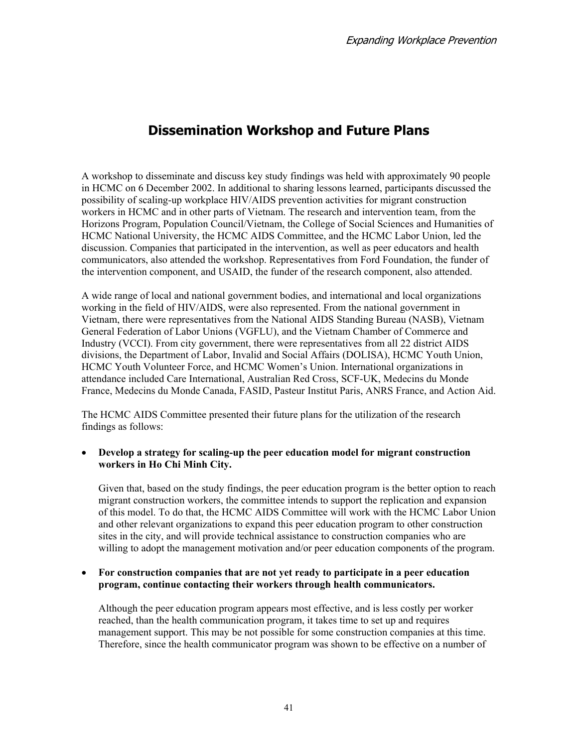# **Dissemination Workshop and Future Plans**

A workshop to disseminate and discuss key study findings was held with approximately 90 people in HCMC on 6 December 2002. In additional to sharing lessons learned, participants discussed the possibility of scaling-up workplace HIV/AIDS prevention activities for migrant construction workers in HCMC and in other parts of Vietnam. The research and intervention team, from the Horizons Program, Population Council/Vietnam, the College of Social Sciences and Humanities of HCMC National University, the HCMC AIDS Committee, and the HCMC Labor Union, led the discussion. Companies that participated in the intervention, as well as peer educators and health communicators, also attended the workshop. Representatives from Ford Foundation, the funder of the intervention component, and USAID, the funder of the research component, also attended.

A wide range of local and national government bodies, and international and local organizations working in the field of HIV/AIDS, were also represented. From the national government in Vietnam, there were representatives from the National AIDS Standing Bureau (NASB), Vietnam General Federation of Labor Unions (VGFLU), and the Vietnam Chamber of Commerce and Industry (VCCI). From city government, there were representatives from all 22 district AIDS divisions, the Department of Labor, Invalid and Social Affairs (DOLISA), HCMC Youth Union, HCMC Youth Volunteer Force, and HCMC Women's Union. International organizations in attendance included Care International, Australian Red Cross, SCF-UK, Medecins du Monde France, Medecins du Monde Canada, FASID, Pasteur Institut Paris, ANRS France, and Action Aid.

The HCMC AIDS Committee presented their future plans for the utilization of the research findings as follows:

#### • **Develop a strategy for scaling-up the peer education model for migrant construction workers in Ho Chi Minh City.**

Given that, based on the study findings, the peer education program is the better option to reach migrant construction workers, the committee intends to support the replication and expansion of this model. To do that, the HCMC AIDS Committee will work with the HCMC Labor Union and other relevant organizations to expand this peer education program to other construction sites in the city, and will provide technical assistance to construction companies who are willing to adopt the management motivation and/or peer education components of the program.

#### • **For construction companies that are not yet ready to participate in a peer education program, continue contacting their workers through health communicators.**

Although the peer education program appears most effective, and is less costly per worker reached, than the health communication program, it takes time to set up and requires management support. This may be not possible for some construction companies at this time. Therefore, since the health communicator program was shown to be effective on a number of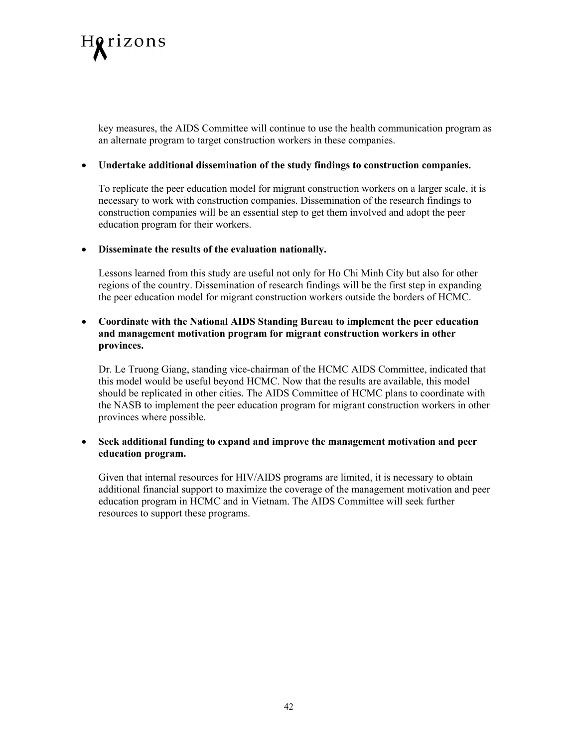

key measures, the AIDS Committee will continue to use the health communication program as an alternate program to target construction workers in these companies.

#### • **Undertake additional dissemination of the study findings to construction companies.**

To replicate the peer education model for migrant construction workers on a larger scale, it is necessary to work with construction companies. Dissemination of the research findings to construction companies will be an essential step to get them involved and adopt the peer education program for their workers.

#### • **Disseminate the results of the evaluation nationally.**

Lessons learned from this study are useful not only for Ho Chi Minh City but also for other regions of the country. Dissemination of research findings will be the first step in expanding the peer education model for migrant construction workers outside the borders of HCMC.

#### • **Coordinate with the National AIDS Standing Bureau to implement the peer education and management motivation program for migrant construction workers in other provinces.**

Dr. Le Truong Giang, standing vice-chairman of the HCMC AIDS Committee, indicated that this model would be useful beyond HCMC. Now that the results are available, this model should be replicated in other cities. The AIDS Committee of HCMC plans to coordinate with the NASB to implement the peer education program for migrant construction workers in other provinces where possible.

• **Seek additional funding to expand and improve the management motivation and peer education program.** 

Given that internal resources for HIV/AIDS programs are limited, it is necessary to obtain additional financial support to maximize the coverage of the management motivation and peer education program in HCMC and in Vietnam. The AIDS Committee will seek further resources to support these programs.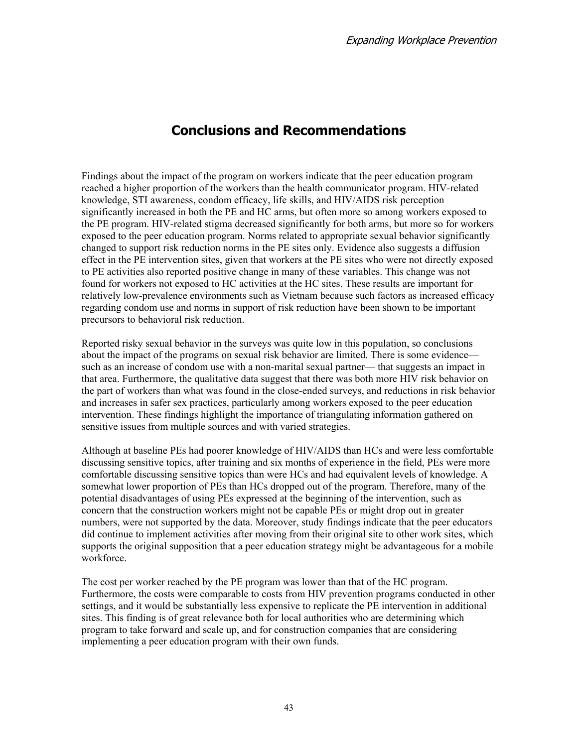# **Conclusions and Recommendations**

Findings about the impact of the program on workers indicate that the peer education program reached a higher proportion of the workers than the health communicator program. HIV-related knowledge, STI awareness, condom efficacy, life skills, and HIV/AIDS risk perception significantly increased in both the PE and HC arms, but often more so among workers exposed to the PE program. HIV-related stigma decreased significantly for both arms, but more so for workers exposed to the peer education program. Norms related to appropriate sexual behavior significantly changed to support risk reduction norms in the PE sites only. Evidence also suggests a diffusion effect in the PE intervention sites, given that workers at the PE sites who were not directly exposed to PE activities also reported positive change in many of these variables. This change was not found for workers not exposed to HC activities at the HC sites. These results are important for relatively low-prevalence environments such as Vietnam because such factors as increased efficacy regarding condom use and norms in support of risk reduction have been shown to be important precursors to behavioral risk reduction.

Reported risky sexual behavior in the surveys was quite low in this population, so conclusions about the impact of the programs on sexual risk behavior are limited. There is some evidence such as an increase of condom use with a non-marital sexual partner— that suggests an impact in that area. Furthermore, the qualitative data suggest that there was both more HIV risk behavior on the part of workers than what was found in the close-ended surveys, and reductions in risk behavior and increases in safer sex practices, particularly among workers exposed to the peer education intervention. These findings highlight the importance of triangulating information gathered on sensitive issues from multiple sources and with varied strategies.

Although at baseline PEs had poorer knowledge of HIV/AIDS than HCs and were less comfortable discussing sensitive topics, after training and six months of experience in the field, PEs were more comfortable discussing sensitive topics than were HCs and had equivalent levels of knowledge. A somewhat lower proportion of PEs than HCs dropped out of the program. Therefore, many of the potential disadvantages of using PEs expressed at the beginning of the intervention, such as concern that the construction workers might not be capable PEs or might drop out in greater numbers, were not supported by the data. Moreover, study findings indicate that the peer educators did continue to implement activities after moving from their original site to other work sites, which supports the original supposition that a peer education strategy might be advantageous for a mobile workforce.

The cost per worker reached by the PE program was lower than that of the HC program. Furthermore, the costs were comparable to costs from HIV prevention programs conducted in other settings, and it would be substantially less expensive to replicate the PE intervention in additional sites. This finding is of great relevance both for local authorities who are determining which program to take forward and scale up, and for construction companies that are considering implementing a peer education program with their own funds.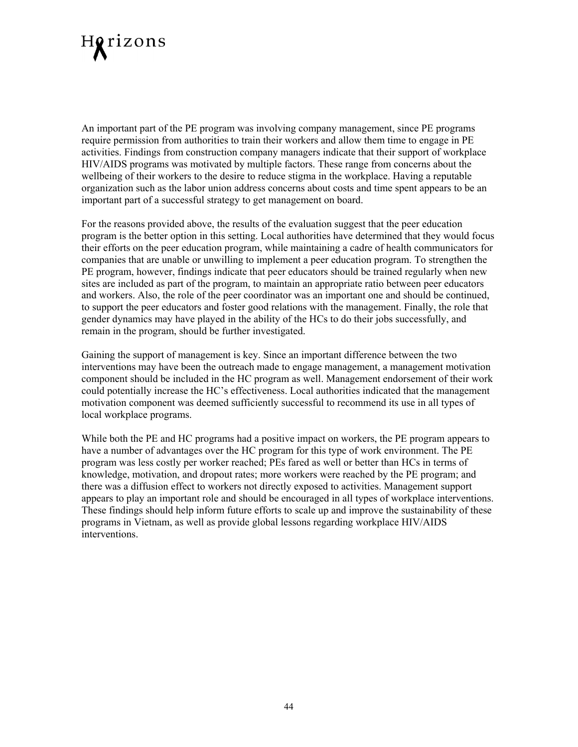

An important part of the PE program was involving company management, since PE programs require permission from authorities to train their workers and allow them time to engage in PE activities. Findings from construction company managers indicate that their support of workplace HIV/AIDS programs was motivated by multiple factors. These range from concerns about the wellbeing of their workers to the desire to reduce stigma in the workplace. Having a reputable organization such as the labor union address concerns about costs and time spent appears to be an important part of a successful strategy to get management on board.

For the reasons provided above, the results of the evaluation suggest that the peer education program is the better option in this setting. Local authorities have determined that they would focus their efforts on the peer education program, while maintaining a cadre of health communicators for companies that are unable or unwilling to implement a peer education program. To strengthen the PE program, however, findings indicate that peer educators should be trained regularly when new sites are included as part of the program, to maintain an appropriate ratio between peer educators and workers. Also, the role of the peer coordinator was an important one and should be continued, to support the peer educators and foster good relations with the management. Finally, the role that gender dynamics may have played in the ability of the HCs to do their jobs successfully, and remain in the program, should be further investigated.

Gaining the support of management is key. Since an important difference between the two interventions may have been the outreach made to engage management, a management motivation component should be included in the HC program as well. Management endorsement of their work could potentially increase the HC's effectiveness. Local authorities indicated that the management motivation component was deemed sufficiently successful to recommend its use in all types of local workplace programs.

While both the PE and HC programs had a positive impact on workers, the PE program appears to have a number of advantages over the HC program for this type of work environment. The PE program was less costly per worker reached; PEs fared as well or better than HCs in terms of knowledge, motivation, and dropout rates; more workers were reached by the PE program; and there was a diffusion effect to workers not directly exposed to activities. Management support appears to play an important role and should be encouraged in all types of workplace interventions. These findings should help inform future efforts to scale up and improve the sustainability of these programs in Vietnam, as well as provide global lessons regarding workplace HIV/AIDS interventions.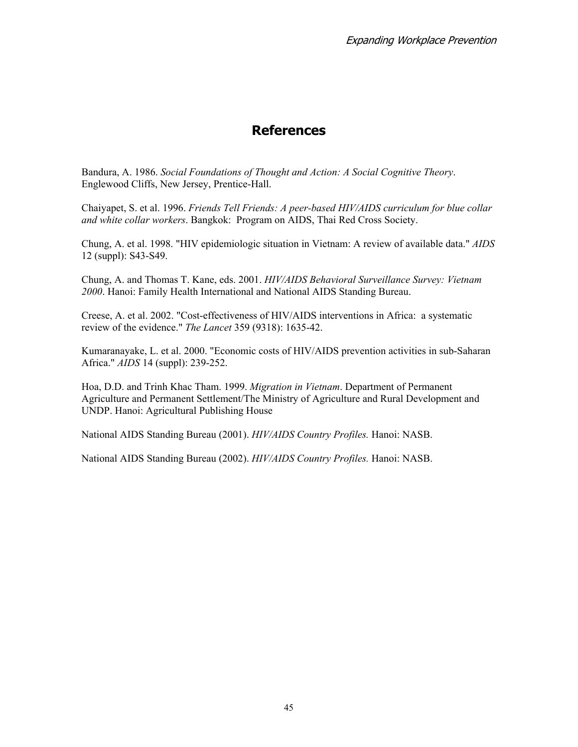## **References**

Bandura, A. 1986. *Social Foundations of Thought and Action: A Social Cognitive Theory*. Englewood Cliffs, New Jersey, Prentice-Hall.

Chaiyapet, S. et al. 1996. *Friends Tell Friends: A peer-based HIV/AIDS curriculum for blue collar and white collar workers*. Bangkok: Program on AIDS, Thai Red Cross Society.

Chung, A. et al. 1998. "HIV epidemiologic situation in Vietnam: A review of available data." *AIDS* 12 (suppl): S43-S49.

Chung, A. and Thomas T. Kane, eds. 2001. *HIV/AIDS Behavioral Surveillance Survey: Vietnam 2000*. Hanoi: Family Health International and National AIDS Standing Bureau.

Creese, A. et al. 2002. "Cost-effectiveness of HIV/AIDS interventions in Africa: a systematic review of the evidence." *The Lancet* 359 (9318): 1635-42.

Kumaranayake, L. et al. 2000. "Economic costs of HIV/AIDS prevention activities in sub-Saharan Africa." *AIDS* 14 (suppl): 239-252.

Hoa, D.D. and Trinh Khac Tham. 1999. *Migration in Vietnam*. Department of Permanent Agriculture and Permanent Settlement/The Ministry of Agriculture and Rural Development and UNDP. Hanoi: Agricultural Publishing House

National AIDS Standing Bureau (2001). *HIV/AIDS Country Profiles.* Hanoi: NASB.

National AIDS Standing Bureau (2002). *HIV/AIDS Country Profiles.* Hanoi: NASB.